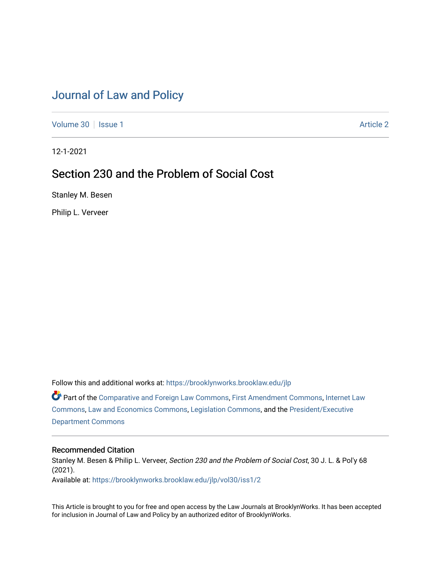# [Journal of Law and Policy](https://brooklynworks.brooklaw.edu/jlp)

[Volume 30](https://brooklynworks.brooklaw.edu/jlp/vol30) | [Issue 1](https://brooklynworks.brooklaw.edu/jlp/vol30/iss1) Article 2

12-1-2021

# Section 230 and the Problem of Social Cost

Stanley M. Besen

Philip L. Verveer

Follow this and additional works at: [https://brooklynworks.brooklaw.edu/jlp](https://brooklynworks.brooklaw.edu/jlp?utm_source=brooklynworks.brooklaw.edu%2Fjlp%2Fvol30%2Fiss1%2F2&utm_medium=PDF&utm_campaign=PDFCoverPages) 

Part of the [Comparative and Foreign Law Commons,](http://network.bepress.com/hgg/discipline/836?utm_source=brooklynworks.brooklaw.edu%2Fjlp%2Fvol30%2Fiss1%2F2&utm_medium=PDF&utm_campaign=PDFCoverPages) [First Amendment Commons,](http://network.bepress.com/hgg/discipline/1115?utm_source=brooklynworks.brooklaw.edu%2Fjlp%2Fvol30%2Fiss1%2F2&utm_medium=PDF&utm_campaign=PDFCoverPages) [Internet Law](http://network.bepress.com/hgg/discipline/892?utm_source=brooklynworks.brooklaw.edu%2Fjlp%2Fvol30%2Fiss1%2F2&utm_medium=PDF&utm_campaign=PDFCoverPages) [Commons](http://network.bepress.com/hgg/discipline/892?utm_source=brooklynworks.brooklaw.edu%2Fjlp%2Fvol30%2Fiss1%2F2&utm_medium=PDF&utm_campaign=PDFCoverPages), [Law and Economics Commons](http://network.bepress.com/hgg/discipline/612?utm_source=brooklynworks.brooklaw.edu%2Fjlp%2Fvol30%2Fiss1%2F2&utm_medium=PDF&utm_campaign=PDFCoverPages), [Legislation Commons](http://network.bepress.com/hgg/discipline/859?utm_source=brooklynworks.brooklaw.edu%2Fjlp%2Fvol30%2Fiss1%2F2&utm_medium=PDF&utm_campaign=PDFCoverPages), and the [President/Executive](http://network.bepress.com/hgg/discipline/1118?utm_source=brooklynworks.brooklaw.edu%2Fjlp%2Fvol30%2Fiss1%2F2&utm_medium=PDF&utm_campaign=PDFCoverPages)  [Department Commons](http://network.bepress.com/hgg/discipline/1118?utm_source=brooklynworks.brooklaw.edu%2Fjlp%2Fvol30%2Fiss1%2F2&utm_medium=PDF&utm_campaign=PDFCoverPages)

# Recommended Citation

Stanley M. Besen & Philip L. Verveer, Section 230 and the Problem of Social Cost, 30 J. L. & Pol'y 68 (2021).

Available at: [https://brooklynworks.brooklaw.edu/jlp/vol30/iss1/2](https://brooklynworks.brooklaw.edu/jlp/vol30/iss1/2?utm_source=brooklynworks.brooklaw.edu%2Fjlp%2Fvol30%2Fiss1%2F2&utm_medium=PDF&utm_campaign=PDFCoverPages)

This Article is brought to you for free and open access by the Law Journals at BrooklynWorks. It has been accepted for inclusion in Journal of Law and Policy by an authorized editor of BrooklynWorks.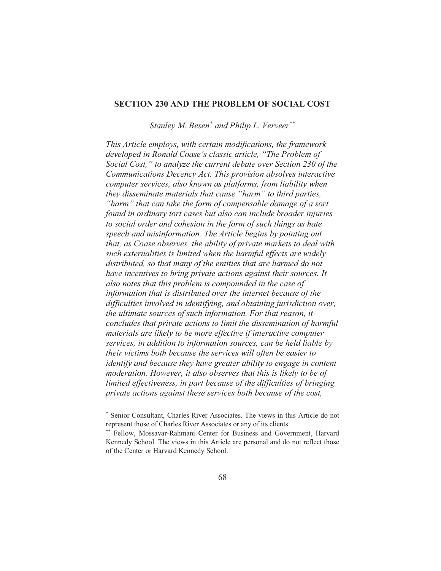#### **SECTION 230 AND THE PROBLEM OF SOCIAL COST**

Stanley M. Besen<sup>\*</sup> and Philip L. Verveer<sup>\*\*</sup>

This Article employs, with certain modifications, the framework developed in Ronald Coase's classic article, "The Problem of Social Cost," to analyze the current debate over Section 230 of the Communications Decency Act. This provision absolves interactive computer services, also known as platforms, from liability when they disseminate materials that cause "harm" to third parties, "harm" that can take the form of compensable damage of a sort found in ordinary tort cases but also can include broader injuries to social order and cohesion in the form of such things as hate speech and misinformation. The Article begins by pointing out that, as Coase observes, the ability of private markets to deal with such externalities is limited when the harmful effects are widely distributed, so that many of the entities that are harmed do not have incentives to bring private actions against their sources. It also notes that this problem is compounded in the case of information that is distributed over the internet because of the difficulties involved in identifying, and obtaining jurisdiction over, the ultimate sources of such information. For that reason, it concludes that private actions to limit the dissemination of harmful materials are likely to be more effective if interactive computer services, in addition to information sources, can be held liable by their victims both because the services will often be easier to identify and because they have greater ability to engage in content moderation. However, it also observes that this is likely to be of limited effectiveness, in part because of the difficulties of bringing private actions against these services both because of the cost,

<sup>\*</sup> Senior Consultant, Charles River Associates. The views in this Article do not represent those of Charles River Associates or any of its clients.

<sup>\*\*</sup> Fellow, Mossavar-Rahmani Center for Business and Government, Harvard Kennedy School. The views in this Article are personal and do not reflect those of the Center or Harvard Kennedy School.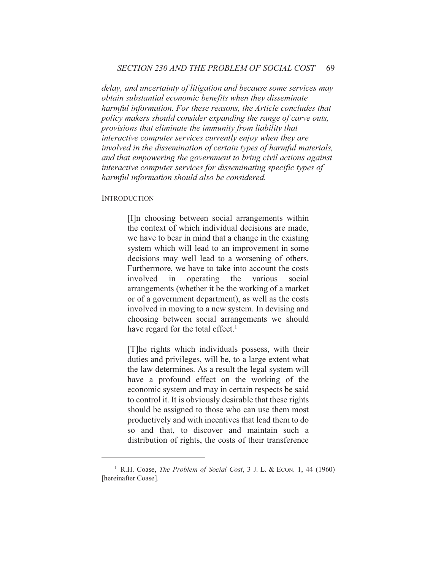delay, and uncertainty of litigation and because some services may obtain substantial economic benefits when they disseminate harmful information. For these reasons, the Article concludes that policy makers should consider expanding the range of carve outs, provisions that eliminate the immunity from liability that interactive computer services currently enjoy when they are involved in the dissemination of certain types of harmful materials, and that empowering the government to bring civil actions against interactive computer services for disseminating specific types of harmful information should also be considered.

#### **INTRODUCTION**

[I]n choosing between social arrangements within the context of which individual decisions are made. we have to bear in mind that a change in the existing system which will lead to an improvement in some decisions may well lead to a worsening of others. Furthermore, we have to take into account the costs involved  $in$ operating the various social arrangements (whether it be the working of a market or of a government department), as well as the costs involved in moving to a new system. In devising and choosing between social arrangements we should have regard for the total effect.<sup>1</sup>

[T] he rights which individuals possess, with their duties and privileges, will be, to a large extent what the law determines. As a result the legal system will have a profound effect on the working of the economic system and may in certain respects be said to control it. It is obviously desirable that these rights should be assigned to those who can use them most productively and with incentives that lead them to do so and that, to discover and maintain such a distribution of rights, the costs of their transference

<sup>&</sup>lt;sup>1</sup> R.H. Coase, *The Problem of Social Cost*, 3 J. L. & ECON. 1, 44 (1960) [hereinafter Coase].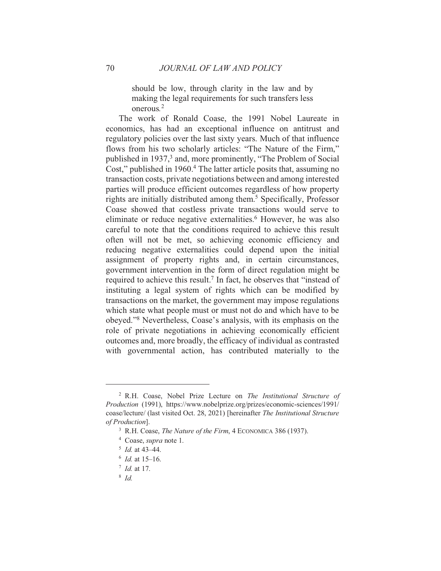should be low, through clarity in the law and by making the legal requirements for such transfers less onerous.<sup>2</sup>

The work of Ronald Coase, the 1991 Nobel Laureate in economics, has had an exceptional influence on antitrust and regulatory policies over the last sixty years. Much of that influence flows from his two scholarly articles: "The Nature of the Firm," published in 1937,<sup>3</sup> and, more prominently, "The Problem of Social Cost," published in 1960.<sup>4</sup> The latter article posits that, assuming no transaction costs, private negotiations between and among interested parties will produce efficient outcomes regardless of how property rights are initially distributed among them.<sup>5</sup> Specifically, Professor Coase showed that costless private transactions would serve to eliminate or reduce negative externalities.<sup>6</sup> However, he was also careful to note that the conditions required to achieve this result often will not be met, so achieving economic efficiency and reducing negative externalities could depend upon the initial assignment of property rights and, in certain circumstances, government intervention in the form of direct regulation might be required to achieve this result.<sup>7</sup> In fact, he observes that "instead of instituting a legal system of rights which can be modified by transactions on the market, the government may impose regulations which state what people must or must not do and which have to be obeyed."<sup>8</sup> Nevertheless, Coase's analysis, with its emphasis on the role of private negotiations in achieving economically efficient outcomes and, more broadly, the efficacy of individual as contrasted with governmental action, has contributed materially to the

 $8 \text{ }\overline{1}d$ 

<sup>&</sup>lt;sup>2</sup> R.H. Coase, Nobel Prize Lecture on *The Institutional Structure of* Production (1991), https://www.nobelprize.org/prizes/economic-sciences/1991/ coase/lecture/ (last visited Oct. 28, 2021) [hereinafter The Institutional Structure of Production].

<sup>&</sup>lt;sup>3</sup> R.H. Coase, *The Nature of the Firm*, 4 ECONOMICA 386 (1937).

<sup>&</sup>lt;sup>4</sup> Coase, *supra* note 1.

 $\frac{5}{1}$  Id. at 43–44.

 $6$  *Id.* at 15–16.

 $^7$  *Id.* at 17.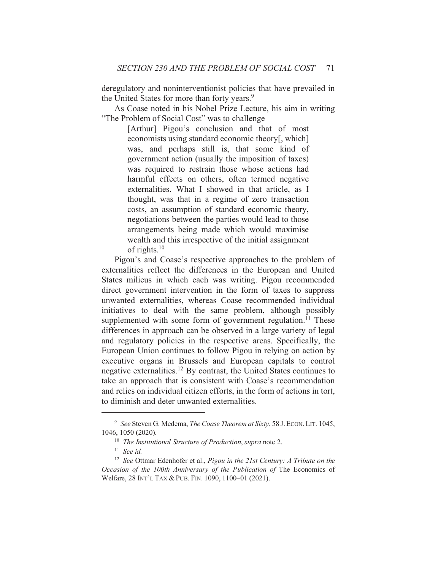deregulatory and noninterventionist policies that have prevailed in the United States for more than forty years.<sup>9</sup>

As Coase noted in his Nobel Prize Lecture, his aim in writing "The Problem of Social Cost" was to challenge

> [Arthur] Pigou's conclusion and that of most economists using standard economic theory[, which] was, and perhaps still is, that some kind of government action (usually the imposition of taxes) was required to restrain those whose actions had harmful effects on others, often termed negative externalities. What I showed in that article, as I thought, was that in a regime of zero transaction costs, an assumption of standard economic theory, negotiations between the parties would lead to those arrangements being made which would maximise wealth and this irrespective of the initial assignment of rights. $10$

Pigou's and Coase's respective approaches to the problem of externalities reflect the differences in the European and United States milieus in which each was writing. Pigou recommended direct government intervention in the form of taxes to suppress unwanted externalities, whereas Coase recommended individual initiatives to deal with the same problem, although possibly supplemented with some form of government regulation.<sup>11</sup> These differences in approach can be observed in a large variety of legal and regulatory policies in the respective areas. Specifically, the European Union continues to follow Pigou in relying on action by executive organs in Brussels and European capitals to control negative externalities.<sup>12</sup> By contrast, the United States continues to take an approach that is consistent with Coase's recommendation and relies on individual citizen efforts, in the form of actions in tort, to diminish and deter unwanted externalities.

<sup>&</sup>lt;sup>9</sup> See Steven G. Medema, *The Coase Theorem at Sixty*, 58 J. ECON, LIT. 1045, 1046, 1050 (2020).

 $10$  The Institutional Structure of Production, supra note 2.

 $11$  See id.

<sup>&</sup>lt;sup>12</sup> See Ottmar Edenhofer et al., Pigou in the 21st Century: A Tribute on the Occasion of the 100th Anniversary of the Publication of The Economics of Welfare, 28 INT'L TAX & PUB. FIN. 1090, 1100-01 (2021).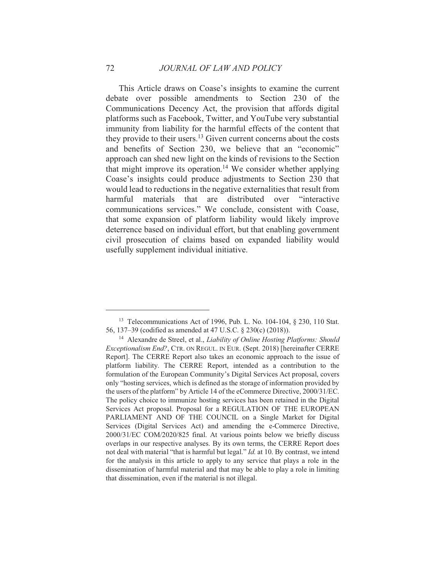This Article draws on Coase's insights to examine the current debate over possible amendments to Section 230 of the Communications Decency Act, the provision that affords digital platforms such as Facebook, Twitter, and YouTube very substantial immunity from liability for the harmful effects of the content that they provide to their users.<sup>13</sup> Given current concerns about the costs and benefits of Section 230, we believe that an "economic" approach can shed new light on the kinds of revisions to the Section that might improve its operation.<sup>14</sup> We consider whether applying Coase's insights could produce adjustments to Section 230 that would lead to reductions in the negative externalities that result from harmful materials that are distributed over "interactive" communications services." We conclude, consistent with Coase, that some expansion of platform liability would likely improve deterrence based on individual effort, but that enabling government civil prosecution of claims based on expanded liability would usefully supplement individual initiative.

72

<sup>&</sup>lt;sup>13</sup> Telecommunications Act of 1996, Pub. L. No. 104-104, § 230, 110 Stat. 56, 137–39 (codified as amended at 47 U.S.C. § 230(c) (2018)).

<sup>&</sup>lt;sup>14</sup> Alexandre de Streel, et al., *Liability of Online Hosting Platforms: Should Exceptionalism End?*, CTR. ON REGUL. IN EUR. (Sept. 2018) [hereinafter CERRE Report]. The CERRE Report also takes an economic approach to the issue of platform liability. The CERRE Report, intended as a contribution to the formulation of the European Community's Digital Services Act proposal, covers only "hosting services, which is defined as the storage of information provided by the users of the platform" by Article 14 of the eCommerce Directive, 2000/31/EC. The policy choice to immunize hosting services has been retained in the Digital Services Act proposal. Proposal for a REGULATION OF THE EUROPEAN PARLIAMENT AND OF THE COUNCIL on a Single Market for Digital Services (Digital Services Act) and amending the e-Commerce Directive, 2000/31/EC COM/2020/825 final. At various points below we briefly discuss overlaps in our respective analyses. By its own terms, the CERRE Report does not deal with material "that is harmful but legal." Id. at 10. By contrast, we intend for the analysis in this article to apply to any service that plays a role in the dissemination of harmful material and that may be able to play a role in limiting that dissemination, even if the material is not illegal.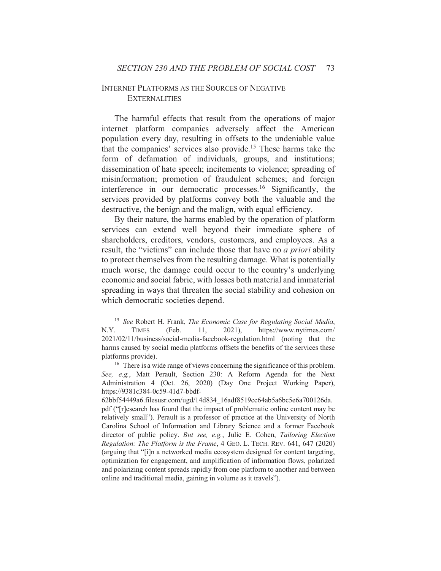# **INTERNET PLATFORMS AS THE SOURCES OF NEGATIVE EXTERNALITIES**

The harmful effects that result from the operations of major internet platform companies adversely affect the American population every day, resulting in offsets to the undeniable value that the companies' services also provide.<sup>15</sup> These harms take the form of defamation of individuals, groups, and institutions; dissemination of hate speech; incitements to violence; spreading of misinformation; promotion of fraudulent schemes; and foreign interference in our democratic processes.<sup>16</sup> Significantly, the services provided by platforms convey both the valuable and the destructive, the benign and the malign, with equal efficiency.

By their nature, the harms enabled by the operation of platform services can extend well beyond their immediate sphere of shareholders, creditors, vendors, customers, and employees. As a result, the "victims" can include those that have no *a priori* ability to protect themselves from the resulting damage. What is potentially much worse, the damage could occur to the country's underlying economic and social fabric, with losses both material and immaterial spreading in ways that threaten the social stability and cohesion on which democratic societies depend.

<sup>&</sup>lt;sup>15</sup> See Robert H. Frank, *The Economic Case for Regulating Social Media*,  $2021$ ), https://www.nytimes.com/ N.Y. **TIMES** (Feb. 11, 2021/02/11/business/social-media-facebook-regulation.html (noting that the harms caused by social media platforms offsets the benefits of the services these platforms provide).

<sup>&</sup>lt;sup>16</sup> There is a wide range of views concerning the significance of this problem. See, e.g., Matt Perault, Section 230: A Reform Agenda for the Next Administration 4 (Oct. 26, 2020) (Day One Project Working Paper), https://9381c384-0c59-41d7-bbdf-

<sup>62</sup>bbf54449a6.filesusr.com/ugd/14d834 16adf8519cc64ab5a6bc5e6a700126da. pdf ("[r]esearch has found that the impact of problematic online content may be relatively small"). Perault is a professor of practice at the University of North Carolina School of Information and Library Science and a former Facebook director of public policy. But see, e.g., Julie E. Cohen, Tailoring Election Regulation: The Platform is the Frame, 4 GEO, L. TECH, REV. 641, 647 (2020) (arguing that "[i]n a networked media ecosystem designed for content targeting, optimization for engagement, and amplification of information flows, polarized and polarizing content spreads rapidly from one platform to another and between online and traditional media, gaining in volume as it travels").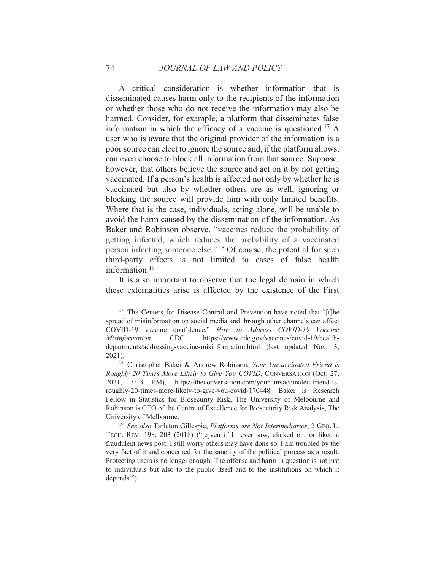A critical consideration is whether information that is disseminated causes harm only to the recipients of the information or whether those who do not receive the information may also be harmed. Consider, for example, a platform that disseminates false information in which the efficacy of a vaccine is questioned.<sup>17</sup> A user who is aware that the original provider of the information is a poor source can elect to ignore the source and, if the platform allows, can even choose to block all information from that source. Suppose, however, that others believe the source and act on it by not getting vaccinated. If a person's health is affected not only by whether he is vaccinated but also by whether others are as well, ignoring or blocking the source will provide him with only limited benefits. Where that is the case, individuals, acting alone, will be unable to avoid the harm caused by the dissemination of the information. As Baker and Robinson observe, "vaccines reduce the probability of getting infected, which reduces the probability of a vaccinated person infecting someone else." <sup>18</sup> Of course, the potential for such third-party effects is not limited to cases of false health information. $19$ 

It is also important to observe that the legal domain in which these externalities arise is affected by the existence of the First

<sup>&</sup>lt;sup>17</sup> The Centers for Disease Control and Prevention have noted that "[t]he spread of misinformation on social media and through other channels can affect COVID-19 vaccine confidence." How to Address COVID-19 Vaccine CDC. https://www.cdc.gov/vaccines/covid-19/health-Misinformation. departments/addressing-vaccine-misinformation.html (last updated Nov. 3,  $2021$ ).

<sup>&</sup>lt;sup>18</sup> Christopher Baker & Andrew Robinson, Your Unvaccinated Friend is Roughly 20 Times More Likely to Give You COVID, CONVERSATION (Oct. 27, 2021, 3:13 PM), https://theconversation.com/your-unvaccinated-friend-isroughly-20-times-more-likely-to-give-you-covid-170448. Baker is Research Fellow in Statistics for Biosecurity Risk, The University of Melbourne and Robinson is CEO of the Centre of Excellence for Biosecurity Risk Analysis, The University of Melbourne.

<sup>&</sup>lt;sup>19</sup> See also Tarleton Gillespie, Platforms are Not Intermediaries, 2 GEO. L. TECH. REV. 198, 203 (2018) ("[e]ven if I never saw, clicked on, or liked a fraudulent news post, I still worry others may have done so. I am troubled by the very fact of it and concerned for the sanctity of the political process as a result. Protecting users is no longer enough. The offense and harm in question is not just to individuals but also to the public itself and to the institutions on which it depends.").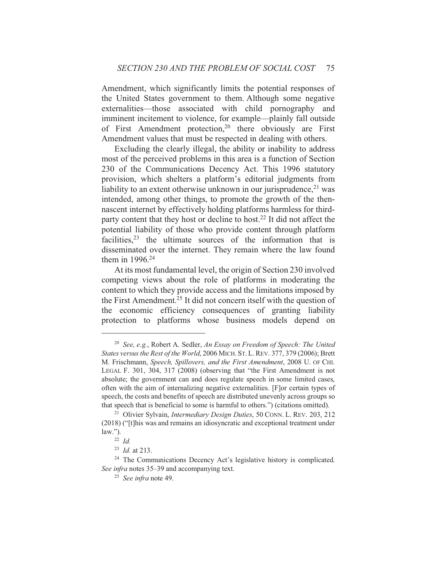Amendment, which significantly limits the potential responses of the United States government to them. Although some negative externalities-those associated with child pornography and imminent incitement to violence, for example—plainly fall outside of First Amendment protection,<sup>20</sup> there obviously are First Amendment values that must be respected in dealing with others.

Excluding the clearly illegal, the ability or inability to address most of the perceived problems in this area is a function of Section 230 of the Communications Decency Act. This 1996 statutory provision, which shelters a platform's editorial judgments from liability to an extent otherwise unknown in our jurisprudence,  $21$  was intended, among other things, to promote the growth of the thennascent internet by effectively holding platforms harmless for thirdparty content that they host or decline to host.<sup>22</sup> It did not affect the potential liability of those who provide content through platform facilities,<sup>23</sup> the ultimate sources of the information that is disseminated over the internet. They remain where the law found them in  $1996.<sup>24</sup>$ 

At its most fundamental level, the origin of Section 230 involved competing views about the role of platforms in moderating the content to which they provide access and the limitations imposed by the First Amendment.<sup>25</sup> It did not concern itself with the question of the economic efficiency consequences of granting liability protection to platforms whose business models depend on

<sup>&</sup>lt;sup>20</sup> See, e.g., Robert A. Sedler, An Essay on Freedom of Speech: The United States versus the Rest of the World, 2006 MICH. ST. L. REV. 377, 379 (2006); Brett M. Frischmann, Speech, Spillovers, and the First Amendment, 2008 U. OF CHI. LEGAL F. 301, 304, 317 (2008) (observing that "the First Amendment is not absolute; the government can and does regulate speech in some limited cases, often with the aim of internalizing negative externalities. [F] or certain types of speech, the costs and benefits of speech are distributed unevenly across groups so that speech that is beneficial to some is harmful to others.") (citations omitted).

<sup>&</sup>lt;sup>21</sup> Olivier Sylvain, *Intermediary Design Duties*, 50 CONN. L. REV. 203, 212 (2018) ("[t] his was and remains an idiosyncratic and exceptional treatment under  $law.''.$ 

 $^{22}$  Id.

 $^{23}$  *Id.* at 213.

<sup>&</sup>lt;sup>24</sup> The Communications Decency Act's legislative history is complicated. See infra notes 35–39 and accompanying text.

 $25$  See infra note 49.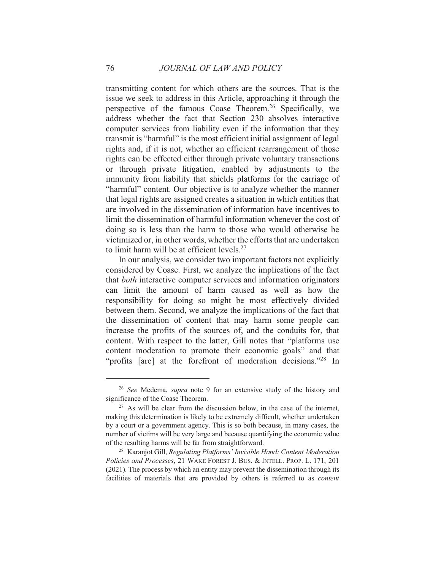transmitting content for which others are the sources. That is the issue we seek to address in this Article, approaching it through the perspective of the famous Coase Theorem.<sup>26</sup> Specifically, we address whether the fact that Section 230 absolves interactive computer services from liability even if the information that they transmit is "harmful" is the most efficient initial assignment of legal rights and, if it is not, whether an efficient rearrangement of those rights can be effected either through private voluntary transactions or through private litigation, enabled by adjustments to the immunity from liability that shields platforms for the carriage of "harmful" content. Our objective is to analyze whether the manner that legal rights are assigned creates a situation in which entities that are involved in the dissemination of information have incentives to limit the dissemination of harmful information whenever the cost of doing so is less than the harm to those who would otherwise be victimized or, in other words, whether the efforts that are undertaken to limit harm will be at efficient levels.<sup>27</sup>

In our analysis, we consider two important factors not explicitly considered by Coase. First, we analyze the implications of the fact that *both* interactive computer services and information originators can limit the amount of harm caused as well as how the responsibility for doing so might be most effectively divided between them. Second, we analyze the implications of the fact that the dissemination of content that may harm some people can increase the profits of the sources of, and the conduits for, that content. With respect to the latter, Gill notes that "platforms use content moderation to promote their economic goals" and that "profits [are] at the forefront of moderation decisions."28 In

<sup>&</sup>lt;sup>26</sup> See Medema, *supra* note 9 for an extensive study of the history and significance of the Coase Theorem.

 $27$  As will be clear from the discussion below, in the case of the internet, making this determination is likely to be extremely difficult, whether undertaken by a court or a government agency. This is so both because, in many cases, the number of victims will be very large and because quantifying the economic value of the resulting harms will be far from straightforward.

<sup>&</sup>lt;sup>28</sup> Karanjot Gill, Regulating Platforms' Invisible Hand: Content Moderation Policies and Processes, 21 WAKE FOREST J. BUS. & INTELL. PROP. L. 171, 201 (2021). The process by which an entity may prevent the dissemination through its facilities of materials that are provided by others is referred to as *content*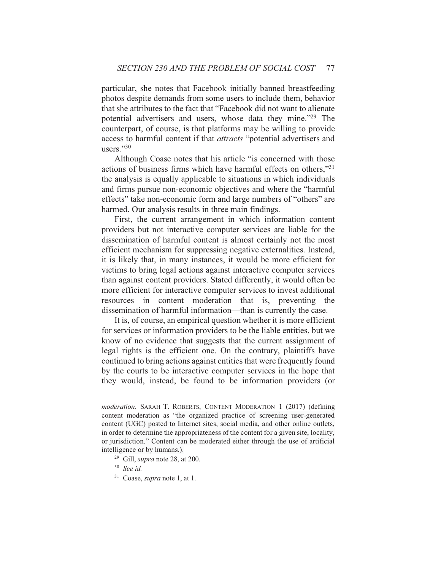particular, she notes that Facebook initially banned breastfeeding photos despite demands from some users to include them, behavior that she attributes to the fact that "Facebook did not want to alienate potential advertisers and users, whose data they mine."<sup>29</sup> The counterpart, of course, is that platforms may be willing to provide access to harmful content if that *attracts* "potential advertisers and  $^{11}$ Sers $^{2,30}$ 

Although Coase notes that his article "is concerned with those actions of business firms which have harmful effects on others,"31 the analysis is equally applicable to situations in which individuals and firms pursue non-economic objectives and where the "harmful effects" take non-economic form and large numbers of "others" are harmed. Our analysis results in three main findings.

First, the current arrangement in which information content providers but not interactive computer services are liable for the dissemination of harmful content is almost certainly not the most efficient mechanism for suppressing negative externalities. Instead, it is likely that, in many instances, it would be more efficient for victims to bring legal actions against interactive computer services than against content providers. Stated differently, it would often be more efficient for interactive computer services to invest additional resources in content moderation—that is, preventing the dissemination of harmful information—than is currently the case.

It is, of course, an empirical question whether it is more efficient for services or information providers to be the liable entities, but we know of no evidence that suggests that the current assignment of legal rights is the efficient one. On the contrary, plaintiffs have continued to bring actions against entities that were frequently found by the courts to be interactive computer services in the hope that they would, instead, be found to be information providers (or

*moderation.* SARAH T. ROBERTS, CONTENT MODERATION 1 (2017) (defining content moderation as "the organized practice of screening user-generated content (UGC) posted to Internet sites, social media, and other online outlets, in order to determine the appropriateness of the content for a given site, locality, or jurisdiction." Content can be moderated either through the use of artificial intelligence or by humans.).

<sup>&</sup>lt;sup>29</sup> Gill, *supra* note 28, at 200.

 $30$  See id.

 $31$  Coase, *supra* note 1, at 1.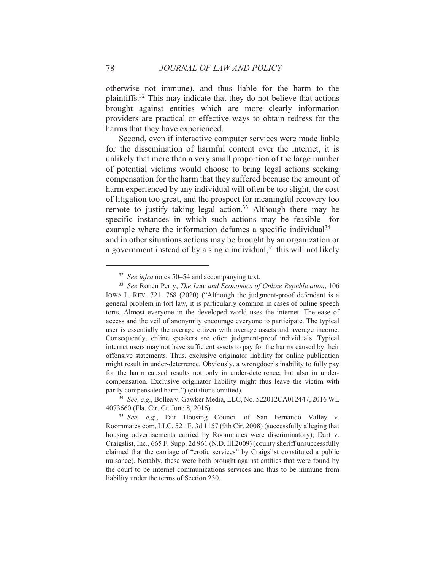otherwise not immune), and thus liable for the harm to the plaintiffs.<sup>32</sup> This may indicate that they do not believe that actions brought against entities which are more clearly information providers are practical or effective ways to obtain redress for the harms that they have experienced.

Second, even if interactive computer services were made liable for the dissemination of harmful content over the internet, it is unlikely that more than a very small proportion of the large number of potential victims would choose to bring legal actions seeking compensation for the harm that they suffered because the amount of harm experienced by any individual will often be too slight, the cost of litigation too great, and the prospect for meaningful recovery too remote to justify taking legal action.<sup>33</sup> Although there may be specific instances in which such actions may be feasible—for example where the information defames a specific individual  $34$  and in other situations actions may be brought by an organization or a government instead of by a single individual,  $3^5$  this will not likely

 $32$  See infra notes 50–54 and accompanying text.

<sup>&</sup>lt;sup>33</sup> See Ronen Perry, The Law and Economics of Online Republication, 106 IOWA L. REV. 721, 768 (2020) ("Although the judgment-proof defendant is a general problem in tort law, it is particularly common in cases of online speech torts. Almost everyone in the developed world uses the internet. The ease of access and the veil of anonymity encourage everyone to participate. The typical user is essentially the average citizen with average assets and average income. Consequently, online speakers are often judgment-proof individuals. Typical internet users may not have sufficient assets to pay for the harms caused by their offensive statements. Thus, exclusive originator liability for online publication might result in under-deterrence. Obviously, a wrongdoer's inability to fully pay for the harm caused results not only in under-deterrence, but also in undercompensation. Exclusive originator liability might thus leave the victim with partly compensated harm.") (citations omitted).

<sup>&</sup>lt;sup>34</sup> See, e.g., Bollea v. Gawker Media, LLC, No. 522012CA012447, 2016 WL 4073660 (Fla. Cir. Ct. June 8, 2016).

<sup>&</sup>lt;sup>35</sup> See, e.g., Fair Housing Council of San Fernando Valley v. Roommates.com, LLC, 521 F. 3d 1157 (9th Cir. 2008) (successfully alleging that housing advertisements carried by Roommates were discriminatory); Dart v. Craigslist, Inc., 665 F. Supp. 2d 961 (N.D. Ill.2009) (county sheriff unsuccessfully claimed that the carriage of "erotic services" by Craigslist constituted a public nuisance). Notably, these were both brought against entities that were found by the court to be internet communications services and thus to be immune from liability under the terms of Section 230.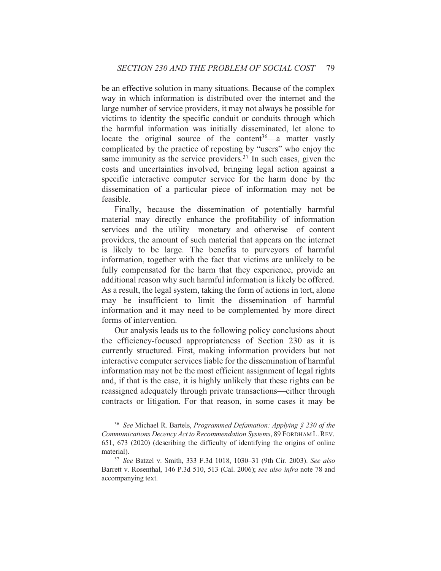be an effective solution in many situations. Because of the complex way in which information is distributed over the internet and the large number of service providers, it may not always be possible for victims to identity the specific conduit or conduits through which the harmful information was initially disseminated, let alone to locate the original source of the content<sup>36</sup>—a matter vastly complicated by the practice of reposting by "users" who enjoy the same immunity as the service providers.<sup>37</sup> In such cases, given the costs and uncertainties involved, bringing legal action against a specific interactive computer service for the harm done by the dissemination of a particular piece of information may not be feasible.

Finally, because the dissemination of potentially harmful material may directly enhance the profitability of information services and the utility—monetary and otherwise—of content providers, the amount of such material that appears on the internet is likely to be large. The benefits to purveyors of harmful information, together with the fact that victims are unlikely to be fully compensated for the harm that they experience, provide an additional reason why such harmful information is likely be offered. As a result, the legal system, taking the form of actions in tort, alone may be insufficient to limit the dissemination of harmful information and it may need to be complemented by more direct forms of intervention.

Our analysis leads us to the following policy conclusions about the efficiency-focused appropriateness of Section 230 as it is currently structured. First, making information providers but not interactive computer services liable for the dissemination of harmful information may not be the most efficient assignment of legal rights and, if that is the case, it is highly unlikely that these rights can be reassigned adequately through private transactions—either through contracts or litigation. For that reason, in some cases it may be

<sup>&</sup>lt;sup>36</sup> See Michael R. Bartels, *Programmed Defamation: Applying*  $\S$  230 of the Communications Decency Act to Recommendation Systems, 89 FORDHAM L. REV. 651, 673 (2020) (describing the difficulty of identifying the origins of online material).

<sup>&</sup>lt;sup>37</sup> See Batzel v. Smith, 333 F.3d 1018, 1030-31 (9th Cir. 2003). See also Barrett v. Rosenthal, 146 P.3d 510, 513 (Cal. 2006); see also infra note 78 and accompanying text.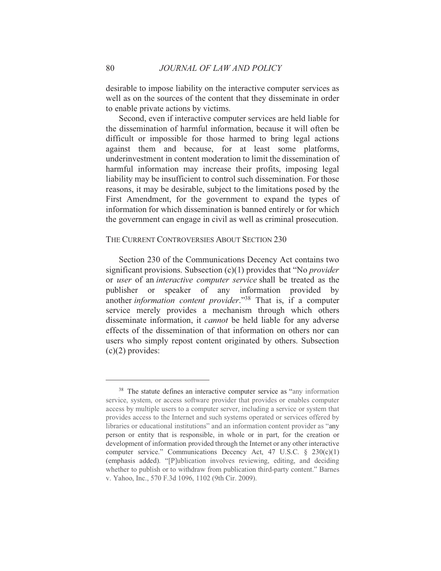desirable to impose liability on the interactive computer services as well as on the sources of the content that they disseminate in order to enable private actions by victims.

Second, even if interactive computer services are held liable for the dissemination of harmful information, because it will often be difficult or impossible for those harmed to bring legal actions against them and because, for at least some platforms, underinvestment in content moderation to limit the dissemination of harmful information may increase their profits, imposing legal liability may be insufficient to control such dissemination. For those reasons, it may be desirable, subject to the limitations posed by the First Amendment, for the government to expand the types of information for which dissemination is banned entirely or for which the government can engage in civil as well as criminal prosecution.

## THE CURRENT CONTROVERSIES ABOUT SECTION 230

Section 230 of the Communications Decency Act contains two significant provisions. Subsection  $(c)(1)$  provides that "No *provider*" or user of an interactive computer service shall be treated as the publisher or speaker of any information provided by another information content provider."<sup>38</sup> That is, if a computer service merely provides a mechanism through which others disseminate information, it *cannot* be held liable for any adverse effects of the dissemination of that information on others nor can users who simply repost content originated by others. Subsection  $(c)(2)$  provides:

<sup>&</sup>lt;sup>38</sup> The statute defines an interactive computer service as "any information" service, system, or access software provider that provides or enables computer access by multiple users to a computer server, including a service or system that provides access to the Internet and such systems operated or services offered by libraries or educational institutions" and an information content provider as "any person or entity that is responsible, in whole or in part, for the creation or development of information provided through the Internet or any other interactive computer service." Communications Decency Act, 47 U.S.C.  $\S$  230(c)(1) (emphasis added). "[P]ublication involves reviewing, editing, and deciding whether to publish or to withdraw from publication third-party content." Barnes v. Yahoo, Inc., 570 F.3d 1096, 1102 (9th Cir. 2009).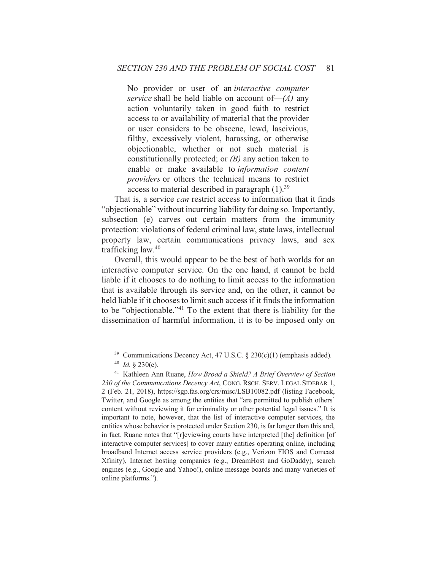No provider or user of an *interactive computer* service shall be held liable on account of  $-(A)$  any action voluntarily taken in good faith to restrict access to or availability of material that the provider or user considers to be obscene, lewd, lascivious, filthy, excessively violent, harassing, or otherwise objectionable, whether or not such material is constitutionally protected; or  $(B)$  any action taken to enable or make available to information content *providers* or others the technical means to restrict access to material described in paragraph  $(1).^{39}$ 

That is, a service *can* restrict access to information that it finds "objectionable" without incurring liability for doing so. Importantly, subsection (e) carves out certain matters from the immunity protection: violations of federal criminal law, state laws, intellectual property law, certain communications privacy laws, and sex trafficking law.<sup>40</sup>

Overall, this would appear to be the best of both worlds for an interactive computer service. On the one hand, it cannot be held liable if it chooses to do nothing to limit access to the information that is available through its service and, on the other, it cannot be held liable if it chooses to limit such access if it finds the information to be "objectionable."<sup>41</sup> To the extent that there is liability for the dissemination of harmful information, it is to be imposed only on

<sup>&</sup>lt;sup>39</sup> Communications Decency Act, 47 U.S.C. § 230(c)(1) (emphasis added).

 $40$  *Id.* § 230(e).

<sup>&</sup>lt;sup>41</sup> Kathleen Ann Ruane, *How Broad a Shield? A Brief Overview of Section* 230 of the Communications Decency Act, CONG. RSCH. SERV. LEGAL SIDEBAR 1, 2 (Feb. 21, 2018), https://sgp.fas.org/crs/misc/LSB10082.pdf (listing Facebook, Twitter, and Google as among the entities that "are permitted to publish others" content without reviewing it for criminality or other potential legal issues." It is important to note, however, that the list of interactive computer services, the entities whose behavior is protected under Section 230, is far longer than this and, in fact, Ruane notes that "[r]eviewing courts have interpreted [the] definition [of interactive computer services] to cover many entities operating online, including broadband Internet access service providers (e.g., Verizon FIOS and Comcast Xfinity), Internet hosting companies (e.g., DreamHost and GoDaddy), search engines (e.g., Google and Yahoo!), online message boards and many varieties of online platforms.").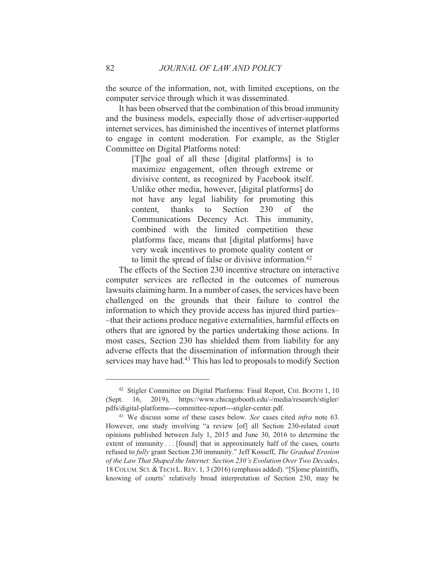the source of the information, not, with limited exceptions, on the computer service through which it was disseminated.

It has been observed that the combination of this broad immunity and the business models, especially those of advertiser-supported internet services, has diminished the incentives of internet platforms to engage in content moderation. For example, as the Stigler Committee on Digital Platforms noted:

> [T] he goal of all these [digital platforms] is to maximize engagement, often through extreme or divisive content, as recognized by Facebook itself. Unlike other media, however, [digital platforms] do not have any legal liability for promoting this thanks Section 230 the content.  $\mathbf{t}$  $\sigma$ Communications Decency Act. This immunity, combined with the limited competition these platforms face, means that [digital platforms] have very weak incentives to promote quality content or to limit the spread of false or divisive information.<sup>42</sup>

The effects of the Section 230 incentive structure on interactive computer services are reflected in the outcomes of numerous lawsuits claiming harm. In a number of cases, the services have been challenged on the grounds that their failure to control the information to which they provide access has injured third parties--that their actions produce negative externalities, harmful effects on others that are ignored by the parties undertaking those actions. In most cases, Section 230 has shielded them from liability for any adverse effects that the dissemination of information through their services may have had.<sup>43</sup> This has led to proposals to modify Section

<sup>&</sup>lt;sup>42</sup> Stigler Committee on Digital Platforms: Final Report, CHI. BOOTH 1, 10 (Sept. 16, 2019), https://www.chicagobooth.edu/-/media/research/stigler/ pdfs/digital-platforms---committee-report---stigler-center.pdf.

<sup>&</sup>lt;sup>43</sup> We discuss some of these cases below. See cases cited *infra* note 63. However, one study involving "a review [of] all Section 230-related court opinions published between July 1, 2015 and June 30, 2016 to determine the extent of immunity... [found] that in approximately half of the cases, courts refused to fully grant Section 230 immunity." Jeff Kosseff, The Gradual Erosion of the Law That Shaped the Internet: Section 230's Evolution Over Two Decades, 18 COLUM. SCI. & TECH L. REV. 1, 3 (2016) (emphasis added). "[S]ome plaintiffs, knowing of courts' relatively broad interpretation of Section 230, may be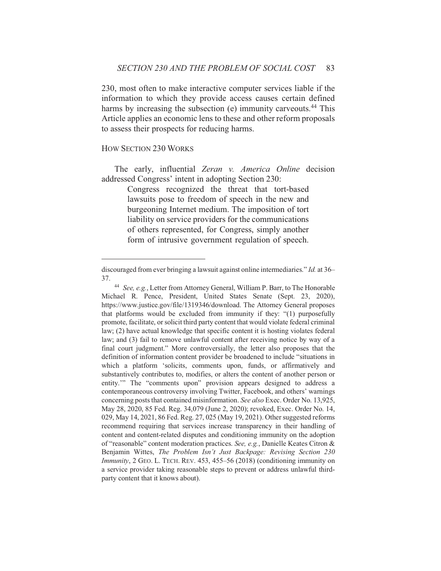230, most often to make interactive computer services liable if the information to which they provide access causes certain defined harms by increasing the subsection (e) immunity carveouts.<sup>44</sup> This Article applies an economic lens to these and other reform proposals to assess their prospects for reducing harms.

## **HOW SECTION 230 WORKS**

The early, influential Zeran v. America Online decision addressed Congress' intent in adopting Section 230:

> Congress recognized the threat that tort-based lawsuits pose to freedom of speech in the new and burgeoning Internet medium. The imposition of tort liability on service providers for the communications of others represented, for Congress, simply another form of intrusive government regulation of speech.

discouraged from ever bringing a lawsuit against online intermediaries." Id. at 36-37.

<sup>&</sup>lt;sup>44</sup> See, e.g., Letter from Attorney General, William P. Barr, to The Honorable Michael R. Pence, President, United States Senate (Sept. 23, 2020), https://www.justice.gov/file/1319346/download. The Attorney General proposes that platforms would be excluded from immunity if they: "(1) purposefully promote, facilitate, or solicit third party content that would violate federal criminal law; (2) have actual knowledge that specific content it is hosting violates federal law; and (3) fail to remove unlawful content after receiving notice by way of a final court judgment." More controversially, the letter also proposes that the definition of information content provider be broadened to include "situations in which a platform 'solicits, comments upon, funds, or affirmatively and substantively contributes to, modifies, or alters the content of another person or entity." The "comments upon" provision appears designed to address a contemporaneous controversy involving Twitter, Facebook, and others' warnings concerning posts that contained misinformation. See also Exec. Order No. 13,925, May 28, 2020, 85 Fed. Reg. 34,079 (June 2, 2020); revoked, Exec. Order No. 14, 029, May 14, 2021, 86 Fed. Reg. 27, 025 (May 19, 2021). Other suggested reforms recommend requiring that services increase transparency in their handling of content and content-related disputes and conditioning immunity on the adoption of "reasonable" content moderation practices. See, e.g., Danielle Keates Citron & Benjamin Wittes, The Problem Isn't Just Backpage: Revising Section 230 Immunity, 2 GEO. L. TECH. REV. 453, 455-56 (2018) (conditioning immunity on a service provider taking reasonable steps to prevent or address unlawful thirdparty content that it knows about).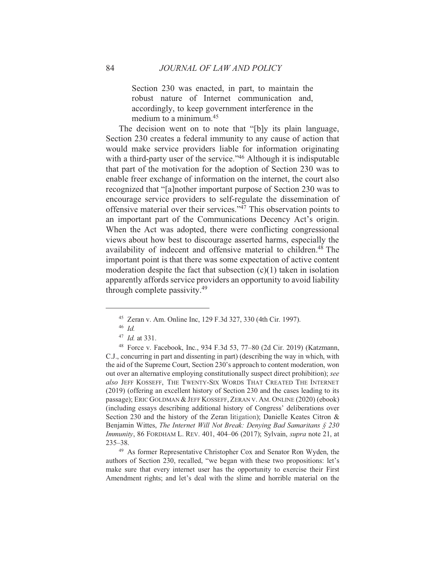Section 230 was enacted, in part, to maintain the robust nature of Internet communication and, accordingly, to keep government interference in the medium to a minimum.<sup>45</sup>

The decision went on to note that "[b]y its plain language, Section 230 creates a federal immunity to any cause of action that would make service providers liable for information originating with a third-party user of the service."<sup>46</sup> Although it is indisputable that part of the motivation for the adoption of Section 230 was to enable freer exchange of information on the internet, the court also recognized that "[a] nother important purpose of Section 230 was to encourage service providers to self-regulate the dissemination of offensive material over their services."<sup>47</sup> This observation points to an important part of the Communications Decency Act's origin. When the Act was adopted, there were conflicting congressional views about how best to discourage asserted harms, especially the availability of indecent and offensive material to children.<sup>48</sup> The important point is that there was some expectation of active content moderation despite the fact that subsection  $(c)(1)$  taken in isolation apparently affords service providers an opportunity to avoid liability through complete passivity.<sup>49</sup>

<sup>49</sup> As former Representative Christopher Cox and Senator Ron Wyden, the authors of Section 230, recalled, "we began with these two propositions: let's make sure that every internet user has the opportunity to exercise their First Amendment rights; and let's deal with the slime and horrible material on the

<sup>&</sup>lt;sup>45</sup> Zeran v. Am. Online Inc, 129 F.3d 327, 330 (4th Cir. 1997).

 $46$  *Id.* 

 $47$  *Id.* at 331.

<sup>&</sup>lt;sup>48</sup> Force v. Facebook, Inc., 934 F.3d 53, 77-80 (2d Cir. 2019) (Katzmann, C.J., concurring in part and dissenting in part) (describing the way in which, with the aid of the Supreme Court, Section 230's approach to content moderation, won out over an alternative employing constitutionally suspect direct prohibition); see also JEFF KOSSEFF, THE TWENTY-SIX WORDS THAT CREATED THE INTERNET (2019) (offering an excellent history of Section 230 and the cases leading to its passage); ERIC GOLDMAN & JEFF KOSSEFF, ZERAN V. AM. ONLINE (2020) (ebook) (including essays describing additional history of Congress' deliberations over Section 230 and the history of the Zeran litigation); Danielle Keates Citron  $\&$ Benjamin Wittes, The Internet Will Not Break: Denying Bad Samaritans § 230 *Immunity*, 86 FORDHAM L. REV. 401, 404–06 (2017); Sylvain, *supra* note 21, at  $235 - 38$ .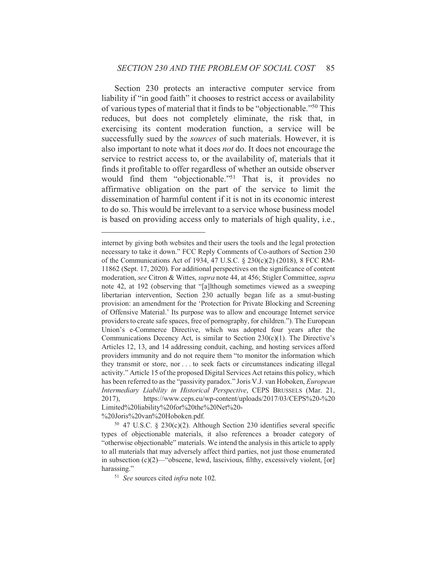Section 230 protects an interactive computer service from liability if "in good faith" it chooses to restrict access or availability of various types of material that it finds to be "objectionable."<sup>50</sup> This reduces, but does not completely eliminate, the risk that, in exercising its content moderation function, a service will be successfully sued by the *sources* of such materials. However, it is also important to note what it does *not* do. It does not encourage the service to restrict access to, or the availability of, materials that it finds it profitable to offer regardless of whether an outside observer would find them "objectionable."<sup>51</sup> That is, it provides no affirmative obligation on the part of the service to limit the dissemination of harmful content if it is not in its economic interest to do so. This would be irrelevant to a service whose business model is based on providing access only to materials of high quality, *i.e.*,

 $50$  47 U.S.C. § 230(c)(2). Although Section 230 identifies several specific types of objectionable materials, it also references a broader category of "otherwise objectionable" materials. We intend the analysis in this article to apply to all materials that may adversely affect third parties, not just those enumerated in subsection  $(c)(2)$ —"obscene, lewd, lascivious, filthy, excessively violent, [or] harassing."

internet by giving both websites and their users the tools and the legal protection necessary to take it down." FCC Reply Comments of Co-authors of Section 230 of the Communications Act of 1934, 47 U.S.C. § 230(c)(2) (2018), 8 FCC RM-11862 (Sept. 17, 2020). For additional perspectives on the significance of content moderation, see Citron & Wittes, supra note 44, at 456; Stigler Committee, supra note 42, at 192 (observing that "[a]lthough sometimes viewed as a sweeping libertarian intervention, Section 230 actually began life as a smut-busting provision: an amendment for the 'Protection for Private Blocking and Screening of Offensive Material.' Its purpose was to allow and encourage Internet service providers to create safe spaces, free of pornography, for children."). The European Union's e-Commerce Directive, which was adopted four years after the Communications Decency Act, is similar to Section  $230(c)(1)$ . The Directive's Articles 12, 13, and 14 addressing conduit, caching, and hosting services afford providers immunity and do not require them "to monitor the information which they transmit or store, nor . . . to seek facts or circumstances indicating illegal activity." Article 15 of the proposed Digital Services Act retains this policy, which has been referred to as the "passivity paradox." Joris V.J. van Hoboken, *European* Intermediary Liability in Historical Perspective, CEPS BRUSSELS (Mar. 21, https://www.ceps.eu/wp-content/uploads/2017/03/CEPS%20-%20 2017), Limited%20liability%20for%20the%20Net%20-%20Joris%20van%20Hoboken.pdf.

<sup>&</sup>lt;sup>51</sup> See sources cited *infra* note 102.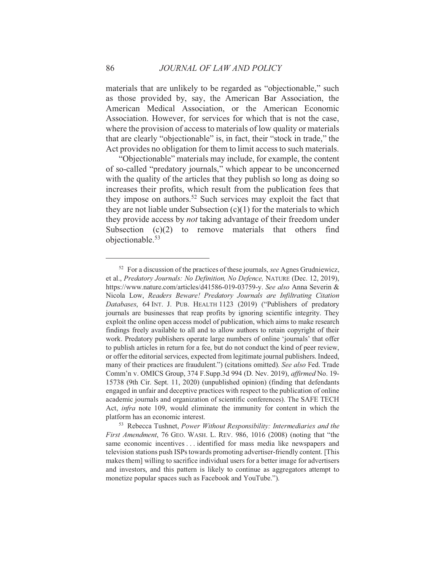materials that are unlikely to be regarded as "objectionable," such as those provided by, say, the American Bar Association, the American Medical Association, or the American Economic Association. However, for services for which that is not the case, where the provision of access to materials of low quality or materials that are clearly "objectionable" is, in fact, their "stock in trade," the Act provides no obligation for them to limit access to such materials.

"Objectionable" materials may include, for example, the content of so-called "predatory journals," which appear to be unconcerned with the quality of the articles that they publish so long as doing so increases their profits, which result from the publication fees that they impose on authors.<sup>52</sup> Such services may exploit the fact that they are not liable under Subsection  $(c)(1)$  for the materials to which they provide access by *not* taking advantage of their freedom under Subsection  $(c)(2)$  to remove materials that others find objectionable.<sup>53</sup>

86

<sup>&</sup>lt;sup>52</sup> For a discussion of the practices of these journals, see Agnes Grudniewicz, et al., Predatory Journals: No Definition, No Defence, NATURE (Dec. 12, 2019), https://www.nature.com/articles/d41586-019-03759-y. See also Anna Severin & Nicola Low, Readers Beware! Predatory Journals are Infiltrating Citation Databases, 64 INT. J. PUB. HEALTH 1123 (2019) ("Publishers of predatory journals are businesses that reap profits by ignoring scientific integrity. They exploit the online open access model of publication, which aims to make research findings freely available to all and to allow authors to retain copyright of their work. Predatory publishers operate large numbers of online 'journals' that offer to publish articles in return for a fee, but do not conduct the kind of peer review, or offer the editorial services, expected from legitimate journal publishers. Indeed, many of their practices are fraudulent.") (citations omitted). See also Fed. Trade Comm'n v. OMICS Group, 374 F.Supp.3d 994 (D. Nev. 2019), *affirmed* No. 19-15738 (9th Cir. Sept. 11, 2020) (unpublished opinion) (finding that defendants engaged in unfair and deceptive practices with respect to the publication of online academic journals and organization of scientific conferences). The SAFE TECH Act, infra note 109, would eliminate the immunity for content in which the platform has an economic interest.

<sup>&</sup>lt;sup>53</sup> Rebecca Tushnet, *Power Without Responsibility: Intermediaries and the* First Amendment, 76 GEO. WASH. L. REV. 986, 1016 (2008) (noting that "the same economic incentives . . . identified for mass media like newspapers and television stations push ISPs towards promoting advertiser-friendly content. [This makes them willing to sacrifice individual users for a better image for advertisers and investors, and this pattern is likely to continue as aggregators attempt to monetize popular spaces such as Facebook and YouTube.").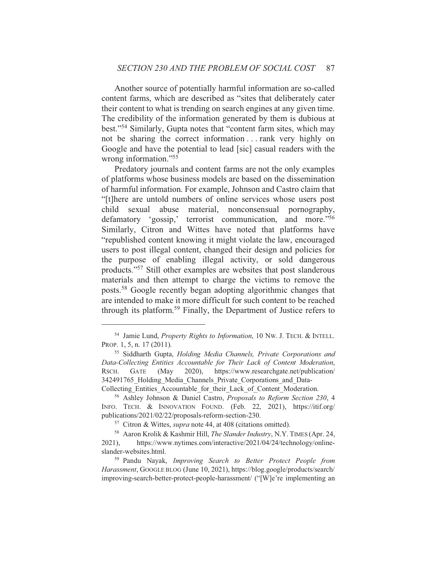Another source of potentially harmful information are so-called content farms, which are described as "sites that deliberately cater their content to what is trending on search engines at any given time. The credibility of the information generated by them is dubious at best."<sup>54</sup> Similarly, Gupta notes that "content farm sites, which may not be sharing the correct information...rank very highly on Google and have the potential to lead [sic] casual readers with the wrong information."<sup>55</sup>

Predatory journals and content farms are not the only examples of platforms whose business models are based on the dissemination of harmful information. For example, Johnson and Castro claim that "[t]here are untold numbers of online services whose users post material, nonconsensual pornography, child sexual abuse defamatory 'gossip,' terrorist communication, and more."56 Similarly, Citron and Wittes have noted that platforms have "republished content knowing it might violate the law, encouraged users to post illegal content, changed their design and policies for the purpose of enabling illegal activity, or sold dangerous products."<sup>57</sup> Still other examples are websites that post slanderous materials and then attempt to charge the victims to remove the posts.<sup>58</sup> Google recently began adopting algorithmic changes that are intended to make it more difficult for such content to be reached through its platform.<sup>59</sup> Finally, the Department of Justice refers to

<sup>&</sup>lt;sup>54</sup> Jamie Lund, *Property Rights to Information*, 10 Nw. J. TECH. & INTELL. PROP. 1, 5, n. 17 (2011).

<sup>&</sup>lt;sup>55</sup> Siddharth Gupta, *Holding Media Channels*, *Private Corporations and* Data-Collecting Entities Accountable for Their Lack of Content Moderation, RSCH. **GATE**  $2020$ ). https://www.researchgate.net/publication/ (May 342491765 Holding Media Channels Private Corporations and Data-Collecting Entities Accountable for their Lack of Content Moderation.

<sup>&</sup>lt;sup>56</sup> Ashley Johnson & Daniel Castro, *Proposals to Reform Section 230, 4* INFO. TECH. & INNOVATION FOUND. (Feb. 22, 2021), https://itif.org/ publications/2021/02/22/proposals-reform-section-230.

<sup>&</sup>lt;sup>57</sup> Citron & Wittes, *supra* note 44, at 408 (citations omitted).

<sup>&</sup>lt;sup>58</sup> Aaron Krolik & Kashmir Hill, *The Slander Industry*, N.Y. TIMES (Apr. 24, https://www.nytimes.com/interactive/2021/04/24/technology/online- $2021$ , slander-websites.html.

<sup>&</sup>lt;sup>59</sup> Pandu Nayak, *Improving Search to Better Protect People from* Harassment, GOOGLE BLOG (June 10, 2021), https://blog.google/products/search/ improving-search-better-protect-people-harassment/ ("[W]e're implementing an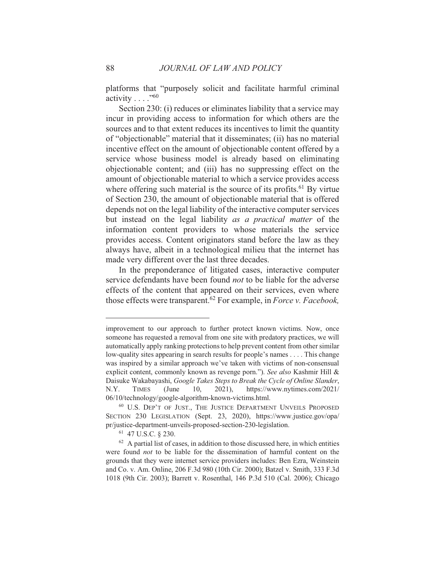platforms that "purposely solicit and facilitate harmful criminal activity  $\ldots$ ."<sup>60</sup>

Section 230: (i) reduces or eliminates liability that a service may incur in providing access to information for which others are the sources and to that extent reduces its incentives to limit the quantity of "objectionable" material that it disseminates; (ii) has no material incentive effect on the amount of objectionable content offered by a service whose business model is already based on eliminating objectionable content; and (iii) has no suppressing effect on the amount of objectionable material to which a service provides access where offering such material is the source of its profits.<sup>61</sup> By virtue of Section 230, the amount of objectionable material that is offered depends not on the legal liability of the interactive computer services but instead on the legal liability as a practical matter of the information content providers to whose materials the service provides access. Content originators stand before the law as they always have, albeit in a technological milieu that the internet has made very different over the last three decades.

In the preponderance of litigated cases, interactive computer service defendants have been found *not* to be liable for the adverse effects of the content that appeared on their services, even where those effects were transparent.<sup>62</sup> For example, in Force v. Facebook,

improvement to our approach to further protect known victims. Now, once someone has requested a removal from one site with predatory practices, we will automatically apply ranking protections to help prevent content from other similar low-quality sites appearing in search results for people's names . . . . This change was inspired by a similar approach we've taken with victims of non-consensual explicit content, commonly known as revenge porn."). See also Kashmir Hill & Daisuke Wakabayashi, Google Takes Steps to Break the Cycle of Online Slander, N.Y. **TIMES** (June 10.  $2021$ , https://www.nytimes.com/2021/ 06/10/technology/google-algorithm-known-victims.html.

<sup>&</sup>lt;sup>60</sup> U.S. DEP'T OF JUST., THE JUSTICE DEPARTMENT UNVEILS PROPOSED SECTION 230 LEGISLATION (Sept. 23, 2020), https://www.justice.gov/opa/ pr/justice-department-unveils-proposed-section-230-legislation.

 $61$  47 U.S.C.  $8$  230.

 $62$  A partial list of cases, in addition to those discussed here, in which entities were found not to be liable for the dissemination of harmful content on the grounds that they were internet service providers includes: Ben Ezra, Weinstein and Co. v. Am. Online, 206 F.3d 980 (10th Cir. 2000); Batzel v. Smith, 333 F.3d 1018 (9th Cir. 2003); Barrett v. Rosenthal, 146 P.3d 510 (Cal. 2006); Chicago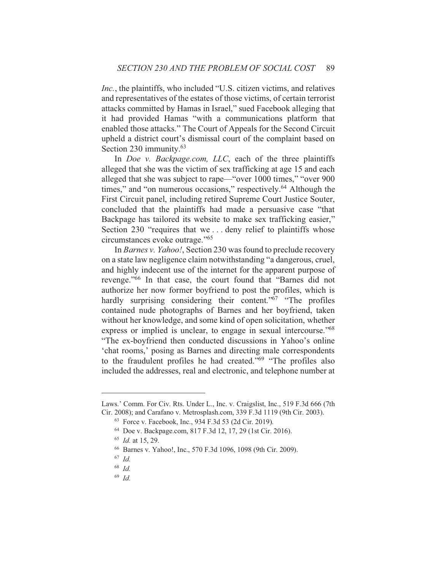*Inc.*, the plaintiffs, who included "U.S. citizen victims, and relatives and representatives of the estates of those victims, of certain terrorist attacks committed by Hamas in Israel," sued Facebook alleging that it had provided Hamas "with a communications platform that enabled those attacks." The Court of Appeals for the Second Circuit upheld a district court's dismissal court of the complaint based on Section 230 immunity. $63$ 

In *Doe v. Backpage.com, LLC*, each of the three plaintiffs alleged that she was the victim of sex trafficking at age 15 and each alleged that she was subject to rape—"over 1000 times," "over 900 times," and "on numerous occasions," respectively.<sup>64</sup> Although the First Circuit panel, including retired Supreme Court Justice Souter, concluded that the plaintiffs had made a persuasive case "that Backpage has tailored its website to make sex trafficking easier," Section 230 "requires that we... deny relief to plaintiffs whose circumstances evoke outrage."<sup>65</sup>

In Barnes v. Yahoo!, Section 230 was found to preclude recovery on a state law negligence claim notwithstanding "a dangerous, cruel, and highly indecent use of the internet for the apparent purpose of revenge."<sup>66</sup> In that case, the court found that "Barnes did not authorize her now former boyfriend to post the profiles, which is hardly surprising considering their content."<sup>67</sup> "The profiles contained nude photographs of Barnes and her boyfriend, taken without her knowledge, and some kind of open solicitation, whether express or implied is unclear, to engage in sexual intercourse."<sup>68</sup> "The ex-boyfriend then conducted discussions in Yahoo's online 'chat rooms,' posing as Barnes and directing male correspondents to the fraudulent profiles he had created."<sup>69</sup> "The profiles also included the addresses, real and electronic, and telephone number at

 $69$  *Id.* 

Laws.' Comm. For Civ. Rts. Under L., Inc. v. Craigslist, Inc., 519 F.3d 666 (7th Cir. 2008); and Carafano v. Metrosplash.com, 339 F.3d 1119 (9th Cir. 2003).

<sup>&</sup>lt;sup>63</sup> Force v. Facebook, Inc., 934 F.3d 53 (2d Cir. 2019).

<sup>&</sup>lt;sup>64</sup> Doe v. Backpage.com, 817 F.3d 12, 17, 29 (1st Cir. 2016).

 $^{65}$  *Id.* at 15, 29.

<sup>&</sup>lt;sup>66</sup> Barnes v. Yahoo!, Inc., 570 F.3d 1096, 1098 (9th Cir. 2009).

 $67$  Id.

 $68$  *Id.*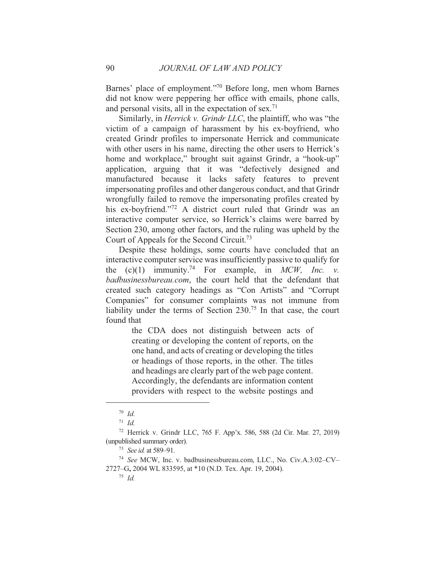Barnes' place of employment."<sup>70</sup> Before long, men whom Barnes did not know were peppering her office with emails, phone calls, and personal visits, all in the expectation of sex.<sup>71</sup>

Similarly, in *Herrick v. Grindr LLC*, the plaintiff, who was "the victim of a campaign of harassment by his ex-boyfriend, who created Grindr profiles to impersonate Herrick and communicate with other users in his name, directing the other users to Herrick's home and workplace," brought suit against Grindr, a "hook-up" application, arguing that it was "defectively designed and manufactured because it lacks safety features to prevent impersonating profiles and other dangerous conduct, and that Grindr wrongfully failed to remove the impersonating profiles created by his ex-boyfriend."72 A district court ruled that Grindr was an interactive computer service, so Herrick's claims were barred by Section 230, among other factors, and the ruling was upheld by the Court of Appeals for the Second Circuit.<sup>73</sup>

Despite these holdings, some courts have concluded that an interactive computer service was insufficiently passive to qualify for the  $(c)(1)$  immunity.<sup>74</sup> For example, in MCW, Inc. v. badbusinessbureau.com, the court held that the defendant that created such category headings as "Con Artists" and "Corrupt Companies" for consumer complaints was not immune from liability under the terms of Section  $230^{75}$  In that case, the court found that

> the CDA does not distinguish between acts of creating or developing the content of reports, on the one hand, and acts of creating or developing the titles or headings of those reports, in the other. The titles and headings are clearly part of the web page content. Accordingly, the defendants are information content providers with respect to the website postings and

 $70$  Id.

 $71$  *Id.* 

<sup>&</sup>lt;sup>72</sup> Herrick v. Grindr LLC, 765 F. App'x. 586, 588 (2d Cir. Mar. 27, 2019) (unpublished summary order).

<sup>&</sup>lt;sup>73</sup> See id. at 589-91.

<sup>&</sup>lt;sup>74</sup> See MCW, Inc. v. badbusinessbureau.com, LLC., No. Civ.A.3:02-CV-2727–G, 2004 WL 833595, at \*10 (N.D. Tex. Apr. 19, 2004).

 $^{75}$  *Id*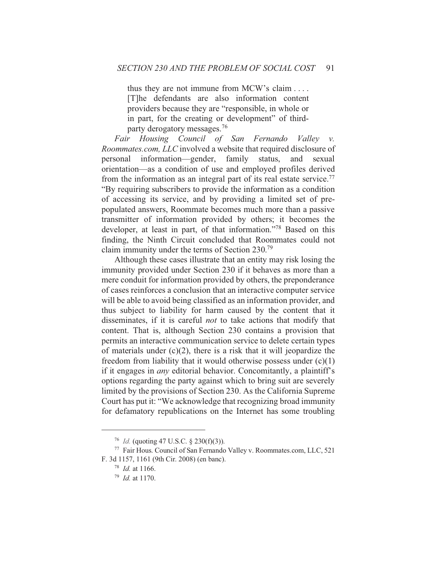thus they are not immune from MCW's claim .... [T]he defendants are also information content providers because they are "responsible, in whole or in part, for the creating or development" of thirdparty derogatory messages.<sup>76</sup>

Fair Housing Council of San Fernando Valley v. *Roommates.com, LLC* involved a website that required disclosure of personal information—gender, family status, and sexual orientation—as a condition of use and employed profiles derived from the information as an integral part of its real estate service.<sup>77</sup> "By requiring subscribers to provide the information as a condition of accessing its service, and by providing a limited set of prepopulated answers, Roommate becomes much more than a passive transmitter of information provided by others; it becomes the developer, at least in part, of that information."<sup>78</sup> Based on this finding, the Ninth Circuit concluded that Roommates could not claim immunity under the terms of Section 230.<sup>79</sup>

Although these cases illustrate that an entity may risk losing the immunity provided under Section 230 if it behaves as more than a mere conduit for information provided by others, the preponderance of cases reinforces a conclusion that an interactive computer service will be able to avoid being classified as an information provider, and thus subject to liability for harm caused by the content that it disseminates, if it is careful *not* to take actions that modify that content. That is, although Section 230 contains a provision that permits an interactive communication service to delete certain types of materials under  $(c)(2)$ , there is a risk that it will jeopardize the freedom from liability that it would otherwise possess under  $(c)(1)$ if it engages in *any* editorial behavior. Concomitantly, a plaintiff's options regarding the party against which to bring suit are severely limited by the provisions of Section 230. As the California Supreme Court has put it: "We acknowledge that recognizing broad immunity for defamatory republications on the Internet has some troubling

<sup>&</sup>lt;sup>76</sup> *Id.* (quoting 47 U.S.C. § 230(f)(3)).

<sup>&</sup>lt;sup>77</sup> Fair Hous. Council of San Fernando Valley v. Roommates.com, LLC, 521 F. 3d 1157, 1161 (9th Cir. 2008) (en banc).

 $78$  *Id.* at 1166.

 $^{79}$  *Id.* at 1170.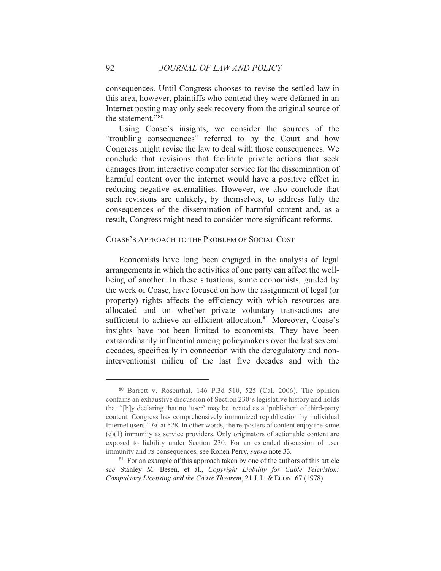consequences. Until Congress chooses to revise the settled law in this area, however, plaintiffs who contend they were defamed in an Internet posting may only seek recovery from the original source of the statement."80

Using Coase's insights, we consider the sources of the "troubling consequences" referred to by the Court and how Congress might revise the law to deal with those consequences. We conclude that revisions that facilitate private actions that seek damages from interactive computer service for the dissemination of harmful content over the internet would have a positive effect in reducing negative externalities. However, we also conclude that such revisions are unlikely, by themselves, to address fully the consequences of the dissemination of harmful content and, as a result, Congress might need to consider more significant reforms.

# COASE'S APPROACH TO THE PROBLEM OF SOCIAL COST

Economists have long been engaged in the analysis of legal arrangements in which the activities of one party can affect the wellbeing of another. In these situations, some economists, guided by the work of Coase, have focused on how the assignment of legal (or property) rights affects the efficiency with which resources are allocated and on whether private voluntary transactions are sufficient to achieve an efficient allocation.<sup>81</sup> Moreover, Coase's insights have not been limited to economists. They have been extraordinarily influential among policymakers over the last several decades, specifically in connection with the deregulatory and noninterventionist milieu of the last five decades and with the

<sup>&</sup>lt;sup>80</sup> Barrett v. Rosenthal, 146 P.3d 510, 525 (Cal. 2006). The opinion contains an exhaustive discussion of Section 230's legislative history and holds that "[b]y declaring that no 'user' may be treated as a 'publisher' of third-party content, Congress has comprehensively immunized republication by individual Internet users." *Id.* at 528. In other words, the re-posters of content enjoy the same  $(c)(1)$  immunity as service providers. Only originators of actionable content are exposed to liability under Section 230. For an extended discussion of user immunity and its consequences, see Ronen Perry, *supra* note 33.

<sup>&</sup>lt;sup>81</sup> For an example of this approach taken by one of the authors of this article see Stanley M. Besen, et al., Copyright Liability for Cable Television: Compulsory Licensing and the Coase Theorem, 21 J. L. & ECON. 67 (1978).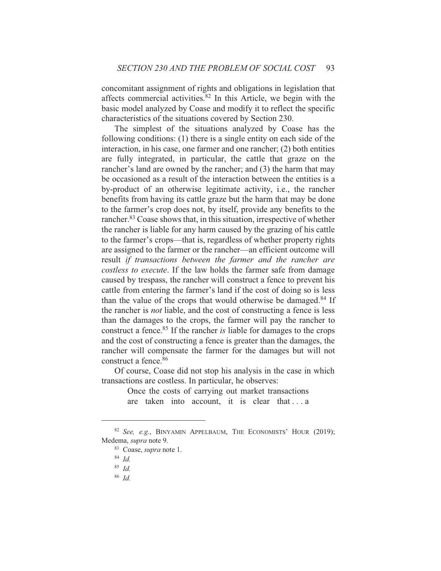concomitant assignment of rights and obligations in legislation that affects commercial activities.<sup>82</sup> In this Article, we begin with the basic model analyzed by Coase and modify it to reflect the specific characteristics of the situations covered by Section 230.

The simplest of the situations analyzed by Coase has the following conditions: (1) there is a single entity on each side of the interaction, in his case, one farmer and one rancher; (2) both entities are fully integrated, in particular, the cattle that graze on the rancher's land are owned by the rancher; and (3) the harm that may be occasioned as a result of the interaction between the entities is a by-product of an otherwise legitimate activity, *i.e.*, the rancher benefits from having its cattle graze but the harm that may be done to the farmer's crop does not, by itself, provide any benefits to the rancher.<sup>83</sup> Coase shows that, in this situation, irrespective of whether the rancher is liable for any harm caused by the grazing of his cattle to the farmer's crops—that is, regardless of whether property rights are assigned to the farmer or the rancher—an efficient outcome will result if transactions between the farmer and the rancher are costless to execute. If the law holds the farmer safe from damage caused by trespass, the rancher will construct a fence to prevent his cattle from entering the farmer's land if the cost of doing so is less than the value of the crops that would otherwise be damaged.<sup>84</sup> If the rancher is *not* liable, and the cost of constructing a fence is less than the damages to the crops, the farmer will pay the rancher to construct a fence.<sup>85</sup> If the rancher is liable for damages to the crops and the cost of constructing a fence is greater than the damages, the rancher will compensate the farmer for the damages but will not construct a fence.<sup>86</sup>

Of course, Coase did not stop his analysis in the case in which transactions are costless. In particular, he observes:

> Once the costs of carrying out market transactions are taken into account, it is clear that ... a

<sup>&</sup>lt;sup>82</sup> See, e.g., BINYAMIN APPELBAUM, THE ECONOMISTS' HOUR (2019); Medema, supra note 9.

<sup>&</sup>lt;sup>83</sup> Coase, *supra* note 1.

 $84$  *Id.* 

 $85$  *Id.* 

 $86$  Id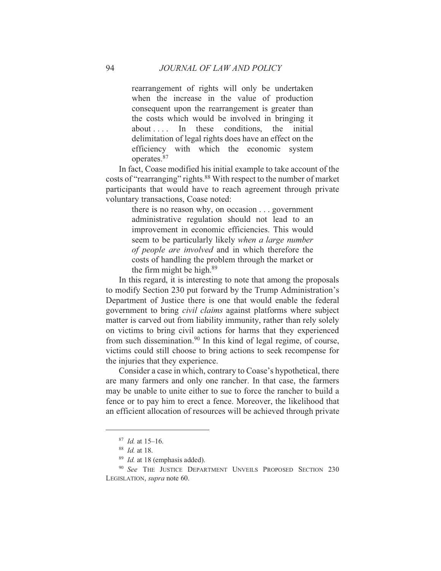rearrangement of rights will only be undertaken when the increase in the value of production consequent upon the rearrangement is greater than the costs which would be involved in bringing it  $about \ldots$  In these conditions, the initial delimitation of legal rights does have an effect on the efficiency with which the economic system operates.<sup>87</sup>

In fact, Coase modified his initial example to take account of the costs of "rearranging" rights.<sup>88</sup> With respect to the number of market participants that would have to reach agreement through private voluntary transactions, Coase noted:

> there is no reason why, on occasion  $\ldots$  government administrative regulation should not lead to an improvement in economic efficiencies. This would seem to be particularly likely when a large number of people are involved and in which therefore the costs of handling the problem through the market or the firm might be high.<sup>89</sup>

In this regard, it is interesting to note that among the proposals to modify Section 230 put forward by the Trump Administration's Department of Justice there is one that would enable the federal government to bring *civil claims* against platforms where subject matter is carved out from liability immunity, rather than rely solely on victims to bring civil actions for harms that they experienced from such dissemination.<sup>90</sup> In this kind of legal regime, of course, victims could still choose to bring actions to seek recompense for the injuries that they experience.

Consider a case in which, contrary to Coase's hypothetical, there are many farmers and only one rancher. In that case, the farmers may be unable to unite either to sue to force the rancher to build a fence or to pay him to erect a fence. Moreover, the likelihood that an efficient allocation of resources will be achieved through private

 $^{87}$  *Id.* at 15–16.

 $88$  *Id.* at 18.

 $89$  *Id.* at 18 (emphasis added).

<sup>&</sup>lt;sup>90</sup> See THE JUSTICE DEPARTMENT UNVEILS PROPOSED SECTION 230 LEGISLATION, supra note 60.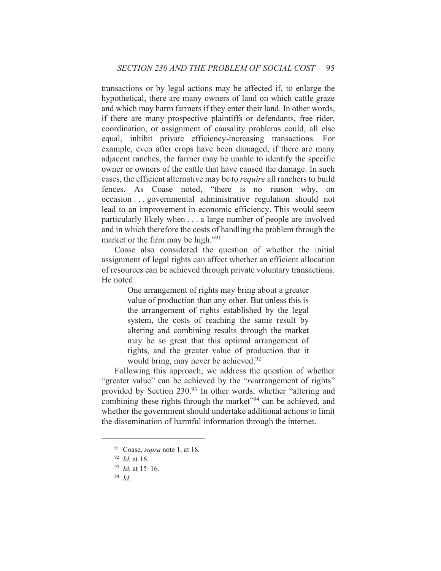transactions or by legal actions may be affected if, to enlarge the hypothetical, there are many owners of land on which cattle graze and which may harm farmers if they enter their land. In other words, if there are many prospective plaintiffs or defendants, free rider, coordination, or assignment of causality problems could, all else equal, inhibit private efficiency-increasing transactions. For example, even after crops have been damaged, if there are many adjacent ranches, the farmer may be unable to identify the specific owner or owners of the cattle that have caused the damage. In such cases, the efficient alternative may be to *require* all ranchers to build fences. As Coase noted, "there is no reason why, on occasion ... governmental administrative regulation should not lead to an improvement in economic efficiency. This would seem particularly likely when . . . a large number of people are involved and in which therefore the costs of handling the problem through the market or the firm may be high."<sup>91</sup>

Coase also considered the question of whether the initial assignment of legal rights can affect whether an efficient allocation of resources can be achieved through private voluntary transactions. He noted:

> One arrangement of rights may bring about a greater value of production than any other. But unless this is the arrangement of rights established by the legal system, the costs of reaching the same result by altering and combining results through the market may be so great that this optimal arrangement of rights, and the greater value of production that it would bring, may never be achieved.<sup>92</sup>

Following this approach, we address the question of whether "greater value" can be achieved by the "rearrangement of rights" provided by Section 230.93 In other words, whether "altering and combining these rights through the market"<sup>94</sup> can be achieved, and whether the government should undertake additional actions to limit the dissemination of harmful information through the internet.

 $94$  Id

 $91$  Coase, *supra* note 1, at 18.

 $92$  *Id.* at 16.

 $93$  *Id.* at 15-16.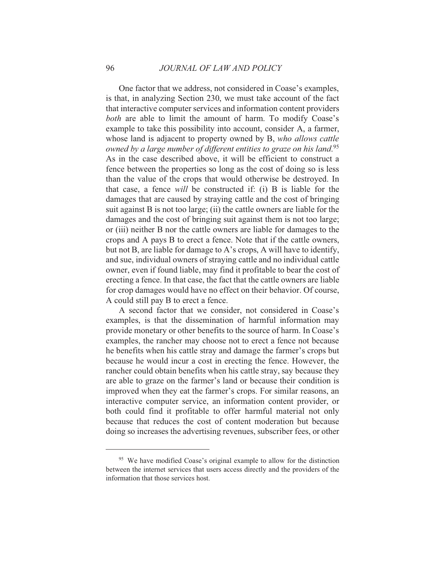One factor that we address, not considered in Coase's examples, is that, in analyzing Section 230, we must take account of the fact that interactive computer services and information content providers both are able to limit the amount of harm. To modify Coase's example to take this possibility into account, consider A, a farmer, whose land is adjacent to property owned by B, who allows cattle owned by a large number of different entities to graze on his land.<sup>95</sup> As in the case described above, it will be efficient to construct a fence between the properties so long as the cost of doing so is less than the value of the crops that would otherwise be destroyed. In that case, a fence *will* be constructed if: (i) B is liable for the damages that are caused by straying cattle and the cost of bringing suit against B is not too large; (ii) the cattle owners are liable for the damages and the cost of bringing suit against them is not too large; or (iii) neither B nor the cattle owners are liable for damages to the crops and A pays B to erect a fence. Note that if the cattle owners, but not B, are liable for damage to A's crops, A will have to identify, and sue, individual owners of straying cattle and no individual cattle owner, even if found liable, may find it profitable to bear the cost of erecting a fence. In that case, the fact that the cattle owners are liable for crop damages would have no effect on their behavior. Of course, A could still pay B to erect a fence.

A second factor that we consider, not considered in Coase's examples, is that the dissemination of harmful information may provide monetary or other benefits to the source of harm. In Coase's examples, the rancher may choose not to erect a fence not because he benefits when his cattle stray and damage the farmer's crops but because he would incur a cost in erecting the fence. However, the rancher could obtain benefits when his cattle stray, say because they are able to graze on the farmer's land or because their condition is improved when they eat the farmer's crops. For similar reasons, an interactive computer service, an information content provider, or both could find it profitable to offer harmful material not only because that reduces the cost of content moderation but because doing so increases the advertising revenues, subscriber fees, or other

<sup>&</sup>lt;sup>95</sup> We have modified Coase's original example to allow for the distinction between the internet services that users access directly and the providers of the information that those services host.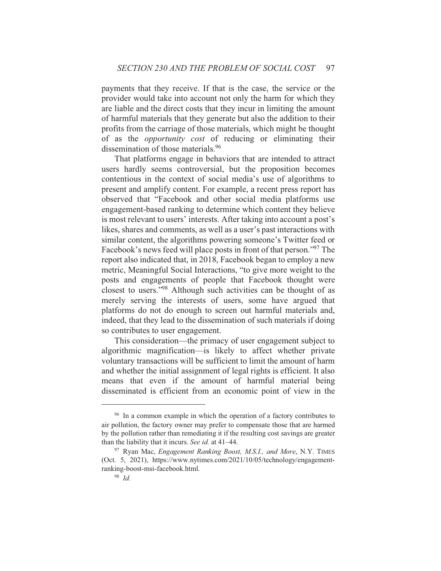payments that they receive. If that is the case, the service or the provider would take into account not only the harm for which they are liable and the direct costs that they incur in limiting the amount of harmful materials that they generate but also the addition to their profits from the carriage of those materials, which might be thought of as the *opportunity cost* of reducing or eliminating their dissemination of those materials.<sup>96</sup>

That platforms engage in behaviors that are intended to attract users hardly seems controversial, but the proposition becomes contentious in the context of social media's use of algorithms to present and amplify content. For example, a recent press report has observed that "Facebook and other social media platforms use engagement-based ranking to determine which content they believe is most relevant to users' interests. After taking into account a post's likes, shares and comments, as well as a user's past interactions with similar content, the algorithms powering someone's Twitter feed or Facebook's news feed will place posts in front of that person."<sup>97</sup> The report also indicated that, in 2018, Facebook began to employ a new metric, Meaningful Social Interactions, "to give more weight to the posts and engagements of people that Facebook thought were closest to users."<sup>98</sup> Although such activities can be thought of as merely serving the interests of users, some have argued that platforms do not do enough to screen out harmful materials and, indeed, that they lead to the dissemination of such materials if doing so contributes to user engagement.

This consideration—the primacy of user engagement subject to algorithmic magnification—is likely to affect whether private voluntary transactions will be sufficient to limit the amount of harm and whether the initial assignment of legal rights is efficient. It also means that even if the amount of harmful material being disseminated is efficient from an economic point of view in the

<sup>&</sup>lt;sup>96</sup> In a common example in which the operation of a factory contributes to air pollution, the factory owner may prefer to compensate those that are harmed by the pollution rather than remediating it if the resulting cost savings are greater than the liability that it incurs. See id. at 41–44.

<sup>&</sup>lt;sup>97</sup> Ryan Mac, *Engagement Ranking Boost, M.S.I., and More*, N.Y. TIMES (Oct. 5, 2021), https://www.nytimes.com/2021/10/05/technology/engagementranking-boost-msi-facebook.html.

 $98$  Id.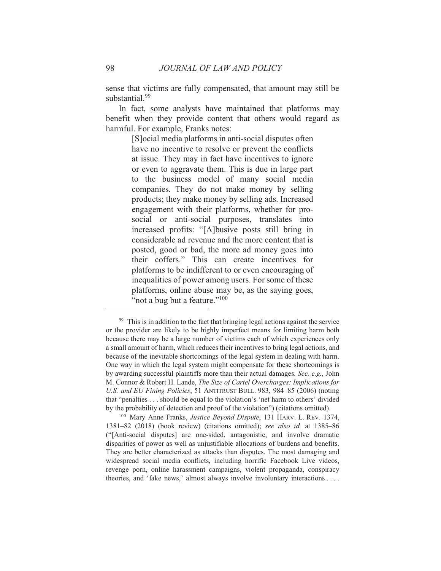sense that victims are fully compensated, that amount may still be substantial.<sup>99</sup>

In fact, some analysts have maintained that platforms may benefit when they provide content that others would regard as harmful. For example, Franks notes:

> [S] ocial media platforms in anti-social disputes often have no incentive to resolve or prevent the conflicts at issue. They may in fact have incentives to ignore or even to aggravate them. This is due in large part to the business model of many social media companies. They do not make money by selling products; they make money by selling ads. Increased engagement with their platforms, whether for prosocial or anti-social purposes, translates into increased profits: "[A]busive posts still bring in considerable ad revenue and the more content that is posted, good or bad, the more ad money goes into their coffers." This can create incentives for platforms to be indifferent to or even encouraging of inequalities of power among users. For some of these platforms, online abuse may be, as the saying goes, "not a bug but a feature."<sup>100</sup>

<sup>&</sup>lt;sup>99</sup> This is in addition to the fact that bringing legal actions against the service or the provider are likely to be highly imperfect means for limiting harm both because there may be a large number of victims each of which experiences only a small amount of harm, which reduces their incentives to bring legal actions, and because of the inevitable shortcomings of the legal system in dealing with harm. One way in which the legal system might compensate for these shortcomings is by awarding successful plaintiffs more than their actual damages. See, e.g., John M. Connor & Robert H. Lande, The Size of Cartel Overcharges: Implications for U.S. and EU Fining Policies, 51 ANTITRUST BULL. 983, 984-85 (2006) (noting that "penalties . . . should be equal to the violation's 'net harm to others' divided by the probability of detection and proof of the violation") (citations omitted).

<sup>&</sup>lt;sup>100</sup> Mary Anne Franks, *Justice Bevond Dispute*, 131 HARV, L. REV. 1374, 1381–82 (2018) (book review) (citations omitted); see also id. at 1385–86 ("[Anti-social disputes] are one-sided, antagonistic, and involve dramatic disparities of power as well as unjustifiable allocations of burdens and benefits. They are better characterized as attacks than disputes. The most damaging and widespread social media conflicts, including horrific Facebook Live videos, revenge porn, online harassment campaigns, violent propaganda, conspiracy theories, and 'fake news,' almost always involve involuntary interactions ...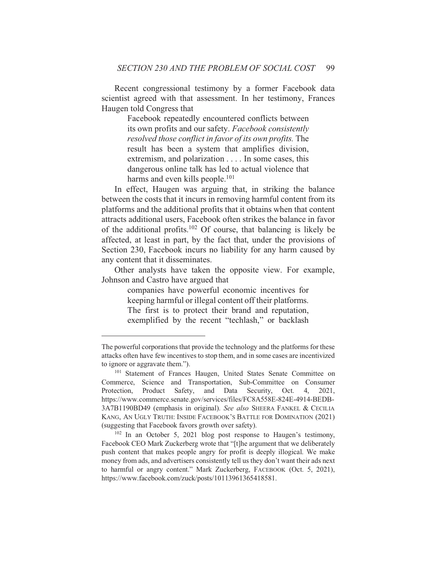Recent congressional testimony by a former Facebook data scientist agreed with that assessment. In her testimony, Frances Haugen told Congress that

> Facebook repeatedly encountered conflicts between its own profits and our safety. Facebook consistently resolved those conflict in favor of its own profits. The result has been a system that amplifies division, extremism, and polarization . . . . In some cases, this dangerous online talk has led to actual violence that harms and even kills people.<sup>101</sup>

In effect, Haugen was arguing that, in striking the balance between the costs that it incurs in removing harmful content from its platforms and the additional profits that it obtains when that content attracts additional users, Facebook often strikes the balance in favor of the additional profits.<sup>102</sup> Of course, that balancing is likely be affected, at least in part, by the fact that, under the provisions of Section 230, Facebook incurs no liability for any harm caused by any content that it disseminates.

Other analysts have taken the opposite view. For example, Johnson and Castro have argued that

> companies have powerful economic incentives for keeping harmful or illegal content off their platforms. The first is to protect their brand and reputation, exemplified by the recent "techlash," or backlash

The powerful corporations that provide the technology and the platforms for these attacks often have few incentives to stop them, and in some cases are incentivized to ignore or aggravate them.").

<sup>&</sup>lt;sup>101</sup> Statement of Frances Haugen, United States Senate Committee on Commerce, Science and Transportation, Sub-Committee on Consumer Protection, Product Safety, and Data Security, Oct. 4, 2021, https://www.commerce.senate.gov/services/files/FC8A558E-824E-4914-BEDB-3A7B1190BD49 (emphasis in original). See also SHEERA FANKEL & CECILIA KANG, AN UGLY TRUTH: INSIDE FACEBOOK'S BATTLE FOR DOMINATION (2021) (suggesting that Facebook favors growth over safety).

 $102$  In an October 5, 2021 blog post response to Haugen's testimony, Facebook CEO Mark Zuckerberg wrote that "[t] he argument that we deliberately push content that makes people angry for profit is deeply illogical. We make money from ads, and advertisers consistently tell us they don't want their ads next to harmful or angry content." Mark Zuckerberg, FACEBOOK (Oct. 5, 2021), https://www.facebook.com/zuck/posts/10113961365418581.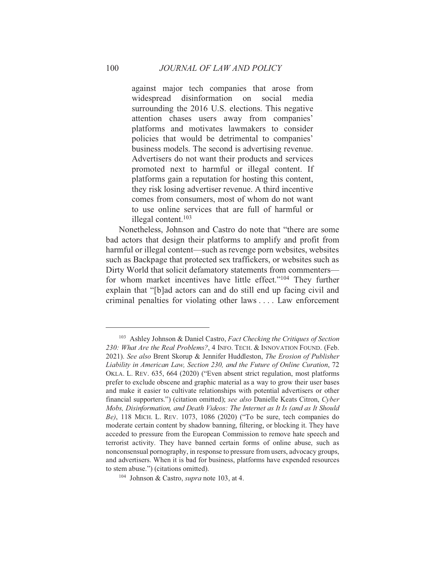against major tech companies that arose from widespread disinformation on social media surrounding the 2016 U.S. elections. This negative attention chases users away from companies' platforms and motivates lawmakers to consider policies that would be detrimental to companies' business models. The second is advertising revenue. Advertisers do not want their products and services promoted next to harmful or illegal content. If platforms gain a reputation for hosting this content, they risk losing advertiser revenue. A third incentive comes from consumers, most of whom do not want to use online services that are full of harmful or illegal content. $103$ 

Nonetheless, Johnson and Castro do note that "there are some bad actors that design their platforms to amplify and profit from harmful or illegal content—such as revenge porn websites, websites such as Backpage that protected sex traffickers, or websites such as Dirty World that solicit defamatory statements from commentersfor whom market incentives have little effect."<sup>104</sup> They further explain that "[b]ad actors can and do still end up facing civil and criminal penalties for violating other laws .... Law enforcement

100

<sup>&</sup>lt;sup>103</sup> Ashley Johnson & Daniel Castro, Fact Checking the Critiques of Section 230: What Are the Real Problems?, 4 INFO. TECH. & INNOVATION FOUND. (Feb. 2021). See also Brent Skorup & Jennifer Huddleston, The Erosion of Publisher Liability in American Law, Section 230, and the Future of Online Curation, 72 OKLA. L. REV. 635, 664 (2020) ("Even absent strict regulation, most platforms prefer to exclude obscene and graphic material as a way to grow their user bases and make it easier to cultivate relationships with potential advertisers or other financial supporters.") (citation omitted); see also Danielle Keats Citron, Cyber Mobs, Disinformation, and Death Videos: The Internet as It Is (and as It Should Be), 118 MICH. L. REV. 1073, 1086 (2020) ("To be sure, tech companies do moderate certain content by shadow banning, filtering, or blocking it. They have acceded to pressure from the European Commission to remove hate speech and terrorist activity. They have banned certain forms of online abuse, such as nonconsensual pornography, in response to pressure from users, advocacy groups, and advertisers. When it is bad for business, platforms have expended resources to stem abuse.") (citations omitted).

<sup>&</sup>lt;sup>104</sup> Johnson & Castro, *supra* note 103, at 4.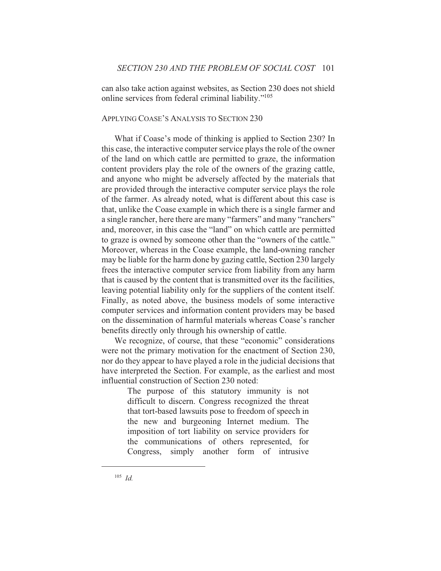can also take action against websites, as Section 230 does not shield online services from federal criminal liability."<sup>105</sup>

# APPLYING COASE'S ANALYSIS TO SECTION 230

What if Coase's mode of thinking is applied to Section 230? In this case, the interactive computer service plays the role of the owner of the land on which cattle are permitted to graze, the information content providers play the role of the owners of the grazing cattle, and anyone who might be adversely affected by the materials that are provided through the interactive computer service plays the role of the farmer. As already noted, what is different about this case is that, unlike the Coase example in which there is a single farmer and a single rancher, here there are many "farmers" and many "ranchers" and, moreover, in this case the "land" on which cattle are permitted to graze is owned by someone other than the "owners of the cattle." Moreover, whereas in the Coase example, the land-owning rancher may be liable for the harm done by gazing cattle, Section 230 largely frees the interactive computer service from liability from any harm that is caused by the content that is transmitted over its the facilities, leaving potential liability only for the suppliers of the content itself. Finally, as noted above, the business models of some interactive computer services and information content providers may be based on the dissemination of harmful materials whereas Coase's rancher benefits directly only through his ownership of cattle.

We recognize, of course, that these "economic" considerations were not the primary motivation for the enactment of Section 230, nor do they appear to have played a role in the judicial decisions that have interpreted the Section. For example, as the earliest and most influential construction of Section 230 noted:

> The purpose of this statutory immunity is not difficult to discern. Congress recognized the threat that tort-based lawsuits pose to freedom of speech in the new and burgeoning Internet medium. The imposition of tort liability on service providers for the communications of others represented, for Congress, simply another form of intrusive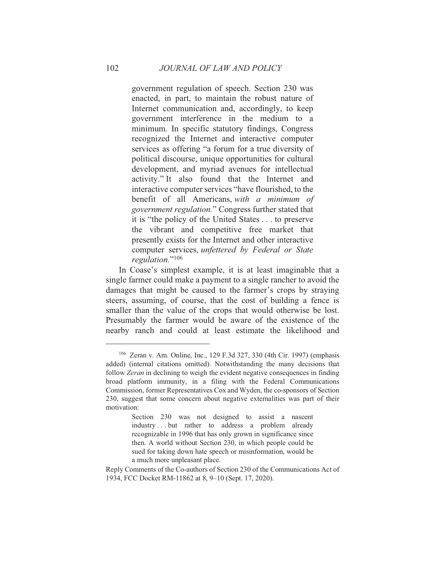government regulation of speech. Section 230 was enacted, in part, to maintain the robust nature of Internet communication and, accordingly, to keep government interference in the medium to a minimum. In specific statutory findings, Congress recognized the Internet and interactive computer services as offering "a forum for a true diversity of political discourse, unique opportunities for cultural development, and myriad avenues for intellectual activity." It also found that the Internet and interactive computer services "have flourished, to the benefit of all Americans, with a minimum of government regulation." Congress further stated that it is "the policy of the United States . . . to preserve the vibrant and competitive free market that presently exists for the Internet and other interactive computer services, unfettered by Federal or State regulation."<sup>106</sup>

In Coase's simplest example, it is at least imaginable that a single farmer could make a payment to a single rancher to avoid the damages that might be caused to the farmer's crops by straying steers, assuming, of course, that the cost of building a fence is smaller than the value of the crops that would otherwise be lost. Presumably the farmer would be aware of the existence of the nearby ranch and could at least estimate the likelihood and

<sup>&</sup>lt;sup>106</sup> Zeran v. Am. Online, Inc., 129 F.3d 327, 330 (4th Cir. 1997) (emphasis added) (internal citations omitted). Notwithstanding the many decisions that follow Zeran in declining to weigh the evident negative consequences in finding broad platform immunity, in a filing with the Federal Communications Commission, former Representatives Cox and Wyden, the co-sponsors of Section 230, suggest that some concern about negative externalities was part of their motivation:

Section 230 was not designed to assist a nascent industry...but rather to address a problem already recognizable in 1996 that has only grown in significance since then. A world without Section 230, in which people could be sued for taking down hate speech or misinformation, would be a much more unpleasant place.

Reply Comments of the Co-authors of Section 230 of the Communications Act of 1934, FCC Docket RM-11862 at 8, 9-10 (Sept. 17, 2020).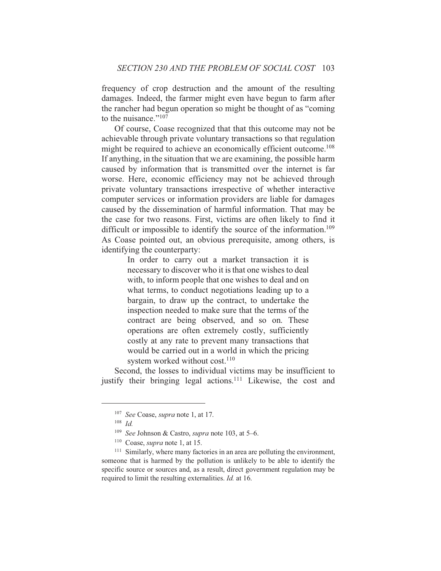frequency of crop destruction and the amount of the resulting damages. Indeed, the farmer might even have begun to farm after the rancher had begun operation so might be thought of as "coming" to the nuisance  $\frac{107}{107}$ 

Of course, Coase recognized that that this outcome may not be achievable through private voluntary transactions so that regulation might be required to achieve an economically efficient outcome.<sup>108</sup> If anything, in the situation that we are examining, the possible harm caused by information that is transmitted over the internet is far worse. Here, economic efficiency may not be achieved through private voluntary transactions irrespective of whether interactive computer services or information providers are liable for damages caused by the dissemination of harmful information. That may be the case for two reasons. First, victims are often likely to find it difficult or impossible to identify the source of the information.<sup>109</sup> As Coase pointed out, an obvious prerequisite, among others, is identifying the counterparty:

> In order to carry out a market transaction it is necessary to discover who it is that one wishes to deal with, to inform people that one wishes to deal and on what terms, to conduct negotiations leading up to a bargain, to draw up the contract, to undertake the inspection needed to make sure that the terms of the contract are being observed, and so on. These operations are often extremely costly, sufficiently costly at any rate to prevent many transactions that would be carried out in a world in which the pricing system worked without cost.<sup>110</sup>

Second, the losses to individual victims may be insufficient to justify their bringing legal actions.<sup>111</sup> Likewise, the cost and

<sup>&</sup>lt;sup>107</sup> See Coase, *supra* note 1, at 17.

 $108$  *Id.* 

<sup>&</sup>lt;sup>109</sup> See Johnson & Castro, *supra* note 103, at 5-6.

 $110$  Coase, *supra* note 1, at 15.

<sup>&</sup>lt;sup>111</sup> Similarly, where many factories in an area are polluting the environment, someone that is harmed by the pollution is unlikely to be able to identify the specific source or sources and, as a result, direct government regulation may be required to limit the resulting externalities. *Id.* at 16.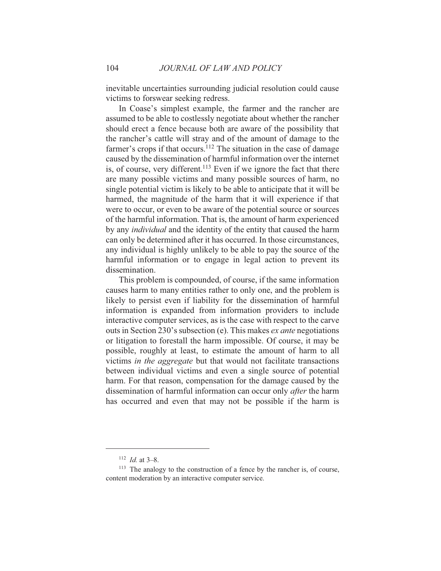inevitable uncertainties surrounding judicial resolution could cause victims to forswear seeking redress.

In Coase's simplest example, the farmer and the rancher are assumed to be able to costlessly negotiate about whether the rancher should erect a fence because both are aware of the possibility that the rancher's cattle will stray and of the amount of damage to the farmer's crops if that occurs.<sup>112</sup> The situation in the case of damage caused by the dissemination of harmful information over the internet is, of course, very different.<sup>113</sup> Even if we ignore the fact that there are many possible victims and many possible sources of harm, no single potential victim is likely to be able to anticipate that it will be harmed, the magnitude of the harm that it will experience if that were to occur, or even to be aware of the potential source or sources of the harmful information. That is, the amount of harm experienced by any *individual* and the identity of the entity that caused the harm can only be determined after it has occurred. In those circumstances, any individual is highly unlikely to be able to pay the source of the harmful information or to engage in legal action to prevent its dissemination.

This problem is compounded, of course, if the same information causes harm to many entities rather to only one, and the problem is likely to persist even if liability for the dissemination of harmful information is expanded from information providers to include interactive computer services, as is the case with respect to the carve outs in Section 230's subsection (e). This makes *ex ante* negotiations or litigation to forestall the harm impossible. Of course, it may be possible, roughly at least, to estimate the amount of harm to all victims in the aggregate but that would not facilitate transactions between individual victims and even a single source of potential harm. For that reason, compensation for the damage caused by the dissemination of harmful information can occur only *after* the harm has occurred and even that may not be possible if the harm is

104

<sup>&</sup>lt;sup>112</sup> *Id.* at 3-8.

<sup>&</sup>lt;sup>113</sup> The analogy to the construction of a fence by the rancher is, of course, content moderation by an interactive computer service.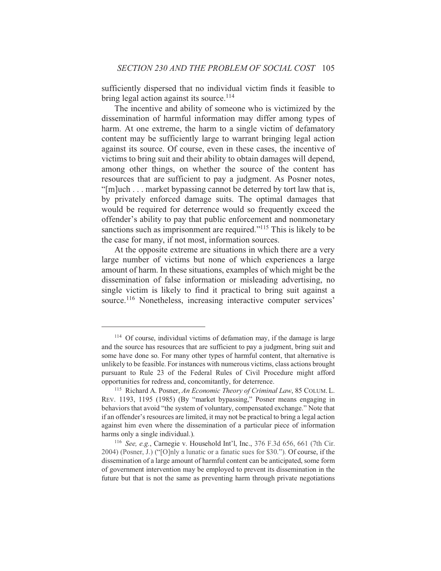sufficiently dispersed that no individual victim finds it feasible to bring legal action against its source.<sup>114</sup>

The incentive and ability of someone who is victimized by the dissemination of harmful information may differ among types of harm. At one extreme, the harm to a single victim of defamatory content may be sufficiently large to warrant bringing legal action against its source. Of course, even in these cases, the incentive of victims to bring suit and their ability to obtain damages will depend, among other things, on whether the source of the content has resources that are sufficient to pay a judgment. As Posner notes, "[m]uch . . . market bypassing cannot be deterred by tort law that is, by privately enforced damage suits. The optimal damages that would be required for deterrence would so frequently exceed the offender's ability to pay that public enforcement and nonmonetary sanctions such as imprisonment are required."<sup>115</sup> This is likely to be the case for many, if not most, information sources.

At the opposite extreme are situations in which there are a very large number of victims but none of which experiences a large amount of harm. In these situations, examples of which might be the dissemination of false information or misleading advertising, no single victim is likely to find it practical to bring suit against a source.<sup>116</sup> Nonetheless, increasing interactive computer services'

<sup>&</sup>lt;sup>114</sup> Of course, individual victims of defamation may, if the damage is large and the source has resources that are sufficient to pay a judgment, bring suit and some have done so. For many other types of harmful content, that alternative is unlikely to be feasible. For instances with numerous victims, class actions brought pursuant to Rule 23 of the Federal Rules of Civil Procedure might afford opportunities for redress and, concomitantly, for deterrence.

<sup>&</sup>lt;sup>115</sup> Richard A. Posner, An Economic Theory of Criminal Law, 85 COLUM. L. REV. 1193, 1195 (1985) (By "market bypassing," Posner means engaging in behaviors that avoid "the system of voluntary, compensated exchange." Note that if an offender's resources are limited, it may not be practical to bring a legal action against him even where the dissemination of a particular piece of information harms only a single individual.).

<sup>&</sup>lt;sup>116</sup> See, e.g., Carnegie v. Household Int'l, Inc., 376 F.3d 656, 661 (7th Cir. 2004) (Posner, J.) ("[O]nly a lunatic or a fanatic sues for \$30."). Of course, if the dissemination of a large amount of harmful content can be anticipated, some form of government intervention may be employed to prevent its dissemination in the future but that is not the same as preventing harm through private negotiations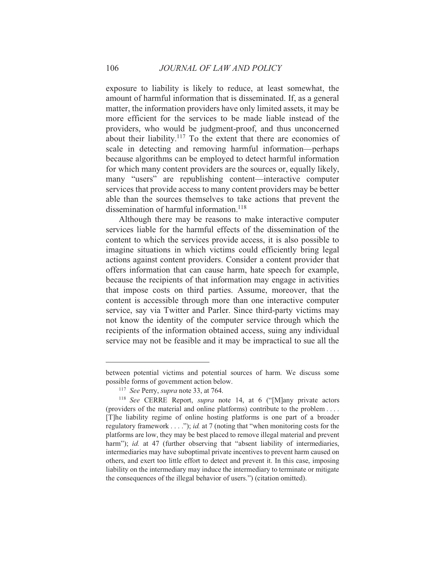exposure to liability is likely to reduce, at least somewhat, the amount of harmful information that is disseminated. If, as a general matter, the information providers have only limited assets, it may be more efficient for the services to be made liable instead of the providers, who would be judgment-proof, and thus unconcerned about their liability.<sup>117</sup> To the extent that there are economies of scale in detecting and removing harmful information—perhaps because algorithms can be employed to detect harmful information for which many content providers are the sources or, equally likely, many "users" are republishing content—interactive computer services that provide access to many content providers may be better able than the sources themselves to take actions that prevent the dissemination of harmful information.<sup>118</sup>

Although there may be reasons to make interactive computer services liable for the harmful effects of the dissemination of the content to which the services provide access, it is also possible to imagine situations in which victims could efficiently bring legal actions against content providers. Consider a content provider that offers information that can cause harm, hate speech for example, because the recipients of that information may engage in activities that impose costs on third parties. Assume, moreover, that the content is accessible through more than one interactive computer service, say via Twitter and Parler. Since third-party victims may not know the identity of the computer service through which the recipients of the information obtained access, suing any individual service may not be feasible and it may be impractical to sue all the

106

between potential victims and potential sources of harm. We discuss some possible forms of government action below.

<sup>&</sup>lt;sup>117</sup> See Perry, *supra* note 33, at 764.

<sup>&</sup>lt;sup>118</sup> See CERRE Report, *supra* note 14, at 6 ("[M]any private actors (providers of the material and online platforms) contribute to the problem .... [T]he liability regime of online hosting platforms is one part of a broader regulatory framework  $\dots$ "; *id.* at 7 (noting that "when monitoring costs for the platforms are low, they may be best placed to remove illegal material and prevent harm"); id. at 47 (further observing that "absent liability of intermediaries, intermediaries may have suboptimal private incentives to prevent harm caused on others, and exert too little effort to detect and prevent it. In this case, imposing liability on the intermediary may induce the intermediary to terminate or mitigate the consequences of the illegal behavior of users.") (citation omitted).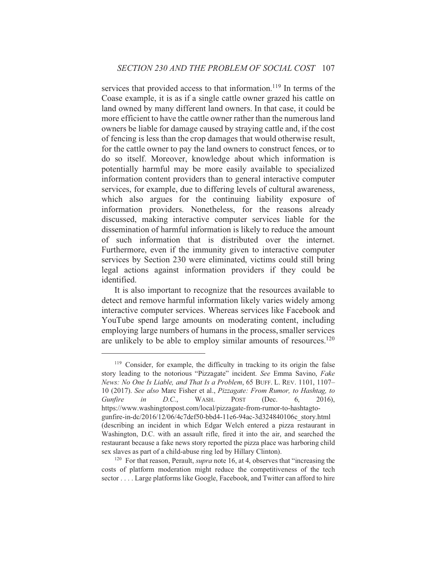services that provided access to that information.<sup>119</sup> In terms of the Coase example, it is as if a single cattle owner grazed his cattle on land owned by many different land owners. In that case, it could be more efficient to have the cattle owner rather than the numerous land owners be liable for damage caused by straying cattle and, if the cost of fencing is less than the crop damages that would otherwise result, for the cattle owner to pay the land owners to construct fences, or to do so itself. Moreover, knowledge about which information is potentially harmful may be more easily available to specialized information content providers than to general interactive computer services, for example, due to differing levels of cultural awareness, which also argues for the continuing liability exposure of information providers. Nonetheless, for the reasons already discussed, making interactive computer services liable for the dissemination of harmful information is likely to reduce the amount of such information that is distributed over the internet. Furthermore, even if the immunity given to interactive computer services by Section 230 were eliminated, victims could still bring legal actions against information providers if they could be identified.

It is also important to recognize that the resources available to detect and remove harmful information likely varies widely among interactive computer services. Whereas services like Facebook and YouTube spend large amounts on moderating content, including employing large numbers of humans in the process, smaller services are unlikely to be able to employ similar amounts of resources.<sup>120</sup>

<sup>&</sup>lt;sup>119</sup> Consider, for example, the difficulty in tracking to its origin the false story leading to the notorious "Pizzagate" incident. See Emma Savino, Fake News: No One Is Liable, and That Is a Problem, 65 BUFF. L. REV. 1101, 1107-10 (2017). See also Marc Fisher et al., Pizzagate: From Rumor, to Hashtag, to Gunfire  $in$  $D.C.,$ WASH. **POST** (Dec. 6. 2016). https://www.washingtonpost.com/local/pizzagate-from-rumor-to-hashtagtogunfire-in-dc/2016/12/06/4c7def50-bbd4-11e6-94ac-3d324840106c story.html (describing an incident in which Edgar Welch entered a pizza restaurant in Washington, D.C. with an assault rifle, fired it into the air, and searched the restaurant because a fake news story reported the pizza place was harboring child sex slaves as part of a child-abuse ring led by Hillary Clinton).

<sup>&</sup>lt;sup>120</sup> For that reason, Perault, *supra* note 16, at 4, observes that "increasing the costs of platform moderation might reduce the competitiveness of the tech sector . . . . Large platforms like Google, Facebook, and Twitter can afford to hire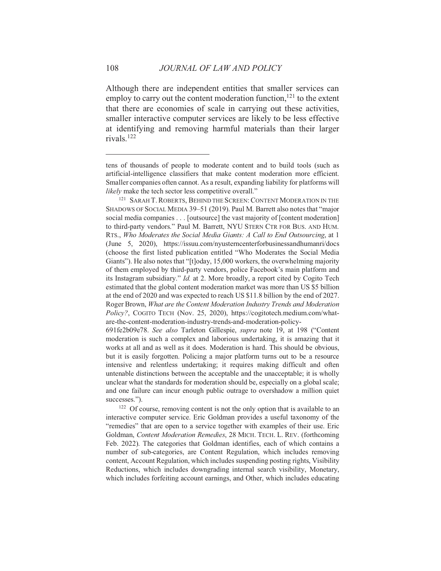Although there are independent entities that smaller services can employ to carry out the content moderation function,<sup>121</sup> to the extent that there are economies of scale in carrying out these activities, smaller interactive computer services are likely to be less effective at identifying and removing harmful materials than their larger rivals.<sup>122</sup>

108

tens of thousands of people to moderate content and to build tools (such as artificial-intelligence classifiers that make content moderation more efficient. Smaller companies often cannot. As a result, expanding liability for platforms will likely make the tech sector less competitive overall."

<sup>&</sup>lt;sup>121</sup> SARAH T. ROBERTS, BEHIND THE SCREEN: CONTENT MODERATION IN THE SHADOWS OF SOCIAL MEDIA 39-51 (2019). Paul M. Barrett also notes that "major social media companies . . . [outsource] the vast majority of [content moderation] to third-party vendors." Paul M. Barrett, NYU STERN CTR FOR BUS. AND HUM. RTS., Who Moderates the Social Media Giants: A Call to End Outsourcing, at 1 (June 5, 2020), https://issuu.com/nyusterncenterforbusinessandhumanri/docs (choose the first listed publication entitled "Who Moderates the Social Media Giants"). He also notes that "[t]oday, 15,000 workers, the overwhelming majority of them employed by third-party vendors, police Facebook's main platform and its Instagram subsidiary." *Id.* at 2. More broadly, a report cited by Cogito Tech estimated that the global content moderation market was more than US \$5 billion at the end of 2020 and was expected to reach US \$11.8 billion by the end of 2027. Roger Brown, What are the Content Moderation Industry Trends and Moderation Policy?, COGITO TECH (Nov. 25, 2020), https://cogitotech.medium.com/whatare-the-content-moderation-industry-trends-and-moderation-policy-

<sup>691</sup>fe2b09e78. See also Tarleton Gillespie, supra note 19, at 198 ("Content" moderation is such a complex and laborious undertaking, it is amazing that it works at all and as well as it does. Moderation is hard. This should be obvious, but it is easily forgotten. Policing a major platform turns out to be a resource intensive and relentless undertaking; it requires making difficult and often untenable distinctions between the acceptable and the unacceptable; it is wholly unclear what the standards for moderation should be, especially on a global scale; and one failure can incur enough public outrage to overshadow a million quiet successes.").

<sup>&</sup>lt;sup>122</sup> Of course, removing content is not the only option that is available to an interactive computer service. Eric Goldman provides a useful taxonomy of the "remedies" that are open to a service together with examples of their use. Eric Goldman, Content Moderation Remedies, 28 MICH. TECH. L. REV. (forthcoming Feb. 2022). The categories that Goldman identifies, each of which contains a number of sub-categories, are Content Regulation, which includes removing content, Account Regulation, which includes suspending posting rights, Visibility Reductions, which includes downgrading internal search visibility, Monetary, which includes forfeiting account earnings, and Other, which includes educating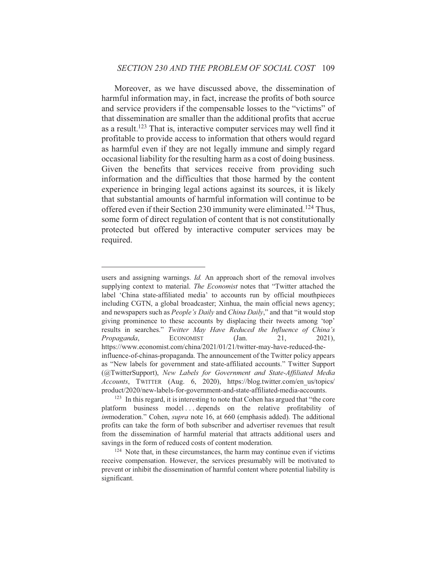Moreover, as we have discussed above, the dissemination of harmful information may, in fact, increase the profits of both source and service providers if the compensable losses to the "victims" of that dissemination are smaller than the additional profits that accrue as a result.<sup>123</sup> That is, interactive computer services may well find it profitable to provide access to information that others would regard as harmful even if they are not legally immune and simply regard occasional liability for the resulting harm as a cost of doing business. Given the benefits that services receive from providing such information and the difficulties that those harmed by the content experience in bringing legal actions against its sources, it is likely that substantial amounts of harmful information will continue to be offered even if their Section 230 immunity were eliminated.<sup>124</sup> Thus, some form of direct regulation of content that is not constitutionally protected but offered by interactive computer services may be required.

users and assigning warnings. *Id*. An approach short of the removal involves supplying context to material. The Economist notes that "Twitter attached the label 'China state-affiliated media' to accounts run by official mouthpieces including CGTN, a global broadcaster; Xinhua, the main official news agency; and newspapers such as People's Daily and China Daily," and that "it would stop giving prominence to these accounts by displacing their tweets among 'top' results in searches." Twitter May Have Reduced the Influence of China's Propaganda, **ECONOMIST** 21.  $2021$ ).  $(Jan.$ https://www.economist.com/china/2021/01/21/twitter-may-have-reduced-theinfluence-of-chinas-propaganda. The announcement of the Twitter policy appears as "New labels for government and state-affiliated accounts." Twitter Support (@TwitterSupport), New Labels for Government and State-Affiliated Media Accounts, TWITTER (Aug. 6, 2020), https://blog.twitter.com/en\_us/topics/ product/2020/new-labels-for-government-and-state-affiliated-media-accounts.

<sup>&</sup>lt;sup>123</sup> In this regard, it is interesting to note that Cohen has argued that "the core" platform business model...depends on the relative profitability of *immoderation.*" Cohen, *supra* note 16, at 660 (emphasis added). The additional profits can take the form of both subscriber and advertiser revenues that result from the dissemination of harmful material that attracts additional users and savings in the form of reduced costs of content moderation.

<sup>&</sup>lt;sup>124</sup> Note that, in these circumstances, the harm may continue even if victims receive compensation. However, the services presumably will be motivated to prevent or inhibit the dissemination of harmful content where potential liability is significant.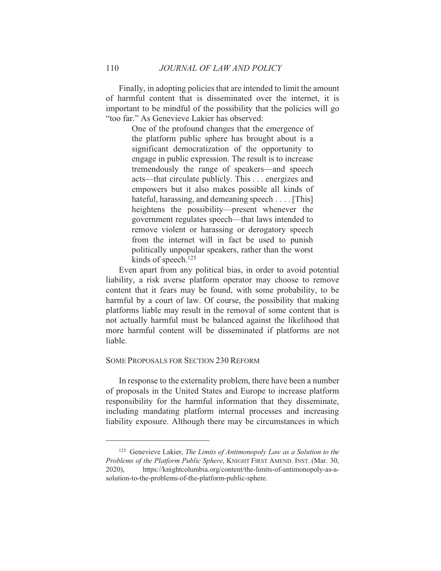Finally, in adopting policies that are intended to limit the amount of harmful content that is disseminated over the internet, it is important to be mindful of the possibility that the policies will go "too far." As Genevieve Lakier has observed:

> One of the profound changes that the emergence of the platform public sphere has brought about is a significant democratization of the opportunity to engage in public expression. The result is to increase tremendously the range of speakers—and speech acts—that circulate publicly. This . . . energizes and empowers but it also makes possible all kinds of hateful, harassing, and demeaning speech  $\dots$  [This] heightens the possibility—present whenever the government regulates speech—that laws intended to remove violent or harassing or derogatory speech from the internet will in fact be used to punish politically unpopular speakers, rather than the worst kinds of speech. $125$

Even apart from any political bias, in order to avoid potential liability, a risk averse platform operator may choose to remove content that it fears may be found, with some probability, to be harmful by a court of law. Of course, the possibility that making platforms liable may result in the removal of some content that is not actually harmful must be balanced against the likelihood that more harmful content will be disseminated if platforms are not liable.

# **SOME PROPOSALS FOR SECTION 230 REFORM**

In response to the externality problem, there have been a number of proposals in the United States and Europe to increase platform responsibility for the harmful information that they disseminate, including mandating platform internal processes and increasing liability exposure. Although there may be circumstances in which

110

<sup>&</sup>lt;sup>125</sup> Genevieve Lakier, The Limits of Antimonopoly Law as a Solution to the Problems of the Platform Public Sphere, KNIGHT FIRST AMEND. INST. (Mar. 30, https://knightcolumbia.org/content/the-limits-of-antimonopoly-as-a- $2020$ ). solution-to-the-problems-of-the-platform-public-sphere.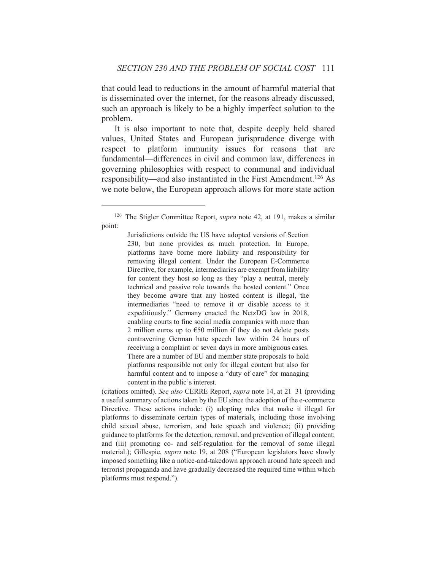that could lead to reductions in the amount of harmful material that is disseminated over the internet, for the reasons already discussed, such an approach is likely to be a highly imperfect solution to the problem.

It is also important to note that, despite deeply held shared values, United States and European jurisprudence diverge with respect to platform immunity issues for reasons that are fundamental—differences in civil and common law, differences in governing philosophies with respect to communal and individual responsibility—and also instantiated in the First Amendment.<sup>126</sup> As we note below, the European approach allows for more state action

(citations omitted). See also CERRE Report, supra note 14, at 21-31 (providing a useful summary of actions taken by the EU since the adoption of the e-commerce Directive. These actions include: (i) adopting rules that make it illegal for platforms to disseminate certain types of materials, including those involving child sexual abuse, terrorism, and hate speech and violence; (ii) providing guidance to platforms for the detection, removal, and prevention of illegal content; and (iii) promoting co- and self-regulation for the removal of some illegal material.); Gillespie, *supra* note 19, at 208 ("European legislators have slowly imposed something like a notice-and-takedown approach around hate speech and terrorist propaganda and have gradually decreased the required time within which platforms must respond.").

<sup>&</sup>lt;sup>126</sup> The Stigler Committee Report, *supra* note 42, at 191, makes a similar point:

Jurisdictions outside the US have adopted versions of Section 230, but none provides as much protection. In Europe, platforms have borne more liability and responsibility for removing illegal content. Under the European E-Commerce Directive, for example, intermediaries are exempt from liability for content they host so long as they "play a neutral, merely technical and passive role towards the hosted content." Once they become aware that any hosted content is illegal, the intermediaries "need to remove it or disable access to it expeditiously." Germany enacted the NetzDG law in 2018, enabling courts to fine social media companies with more than 2 million euros up to  $\epsilon$ 50 million if they do not delete posts contravening German hate speech law within 24 hours of receiving a complaint or seven days in more ambiguous cases. There are a number of EU and member state proposals to hold platforms responsible not only for illegal content but also for harmful content and to impose a "duty of care" for managing content in the public's interest.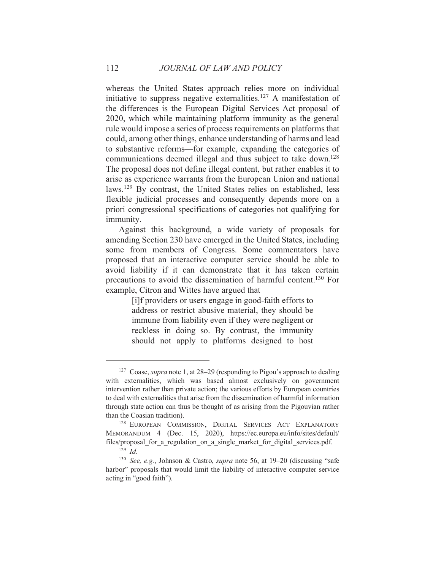whereas the United States approach relies more on individual initiative to suppress negative externalities.<sup>127</sup> A manifestation of the differences is the European Digital Services Act proposal of 2020, which while maintaining platform immunity as the general rule would impose a series of process requirements on platforms that could, among other things, enhance understanding of harms and lead to substantive reforms—for example, expanding the categories of communications deemed illegal and thus subject to take down.<sup>128</sup> The proposal does not define illegal content, but rather enables it to arise as experience warrants from the European Union and national laws.<sup>129</sup> By contrast, the United States relies on established, less flexible judicial processes and consequently depends more on a priori congressional specifications of categories not qualifying for immunity.

Against this background, a wide variety of proposals for amending Section 230 have emerged in the United States, including some from members of Congress. Some commentators have proposed that an interactive computer service should be able to avoid liability if it can demonstrate that it has taken certain precautions to avoid the dissemination of harmful content.<sup>130</sup> For example, Citron and Wittes have argued that

> [i] f providers or users engage in good-faith efforts to address or restrict abusive material, they should be immune from liability even if they were negligent or reckless in doing so. By contrast, the immunity should not apply to platforms designed to host

<sup>&</sup>lt;sup>127</sup> Coase, *supra* note 1, at  $28-29$  (responding to Pigou's approach to dealing with externalities, which was based almost exclusively on government intervention rather than private action; the various efforts by European countries to deal with externalities that arise from the dissemination of harmful information through state action can thus be thought of as arising from the Pigouvian rather than the Coasian tradition).

<sup>&</sup>lt;sup>128</sup> EUROPEAN COMMISSION, DIGITAL SERVICES ACT EXPLANATORY MEMORANDUM 4 (Dec. 15, 2020), https://ec.europa.eu/info/sites/default/ files/proposal for a regulation on a single market for digital services.pdf.

 $129$  *Id.* 

<sup>&</sup>lt;sup>130</sup> See, e.g., Johnson & Castro, *supra* note 56, at 19–20 (discussing "safe harbor" proposals that would limit the liability of interactive computer service acting in "good faith").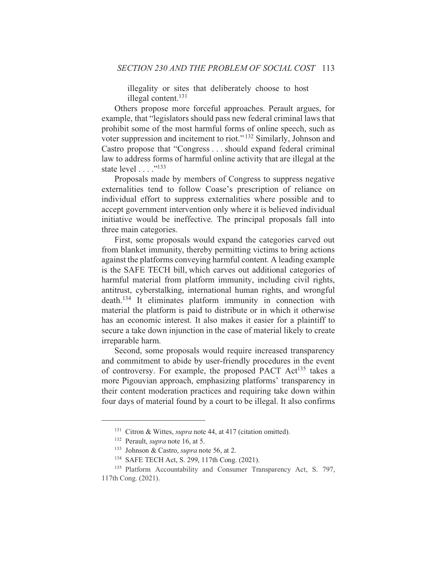illegality or sites that deliberately choose to host illegal content.<sup>131</sup>

Others propose more forceful approaches. Perault argues, for example, that "legislators should pass new federal criminal laws that prohibit some of the most harmful forms of online speech, such as voter suppression and incitement to riot."<sup>132</sup> Similarly, Johnson and Castro propose that "Congress . . . should expand federal criminal law to address forms of harmful online activity that are illegal at the state level . . . . "<sup>133</sup>

Proposals made by members of Congress to suppress negative externalities tend to follow Coase's prescription of reliance on individual effort to suppress externalities where possible and to accept government intervention only where it is believed individual initiative would be ineffective. The principal proposals fall into three main categories.

First, some proposals would expand the categories carved out from blanket immunity, thereby permitting victims to bring actions against the platforms conveying harmful content. A leading example is the SAFE TECH bill, which carves out additional categories of harmful material from platform immunity, including civil rights, antitrust, cyberstalking, international human rights, and wrongful  $death.$ <sup>134</sup> It eliminates platform immunity in connection with material the platform is paid to distribute or in which it otherwise has an economic interest. It also makes it easier for a plaintiff to secure a take down injunction in the case of material likely to create irreparable harm.

Second, some proposals would require increased transparency and commitment to abide by user-friendly procedures in the event of controversy. For example, the proposed PACT Act<sup>135</sup> takes a more Pigouvian approach, emphasizing platforms' transparency in their content moderation practices and requiring take down within four days of material found by a court to be illegal. It also confirms

<sup>&</sup>lt;sup>131</sup> Citron & Wittes, *supra* note 44, at 417 (citation omitted).

<sup>&</sup>lt;sup>132</sup> Perault, *supra* note 16, at 5.

<sup>&</sup>lt;sup>133</sup> Johnson & Castro, *supra* note 56, at 2.

<sup>&</sup>lt;sup>134</sup> SAFE TECH Act, S. 299, 117th Cong. (2021).

<sup>&</sup>lt;sup>135</sup> Platform Accountability and Consumer Transparency Act, S. 797, 117th Cong. (2021).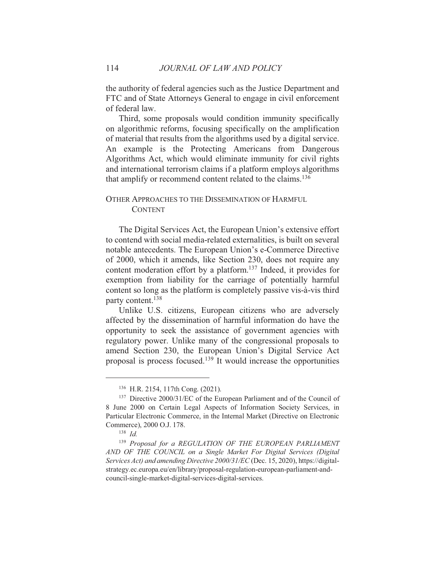the authority of federal agencies such as the Justice Department and FTC and of State Attorneys General to engage in civil enforcement of federal law.

Third, some proposals would condition immunity specifically on algorithmic reforms, focusing specifically on the amplification of material that results from the algorithms used by a digital service. An example is the Protecting Americans from Dangerous Algorithms Act, which would eliminate immunity for civil rights and international terrorism claims if a platform employs algorithms that amplify or recommend content related to the claims.<sup>136</sup>

# OTHER APPROACHES TO THE DISSEMINATION OF HARMFUL **CONTENT**

The Digital Services Act, the European Union's extensive effort to contend with social media-related externalities, is built on several notable antecedents. The European Union's e-Commerce Directive of 2000, which it amends, like Section 230, does not require any content moderation effort by a platform.<sup>137</sup> Indeed, it provides for exemption from liability for the carriage of potentially harmful content so long as the platform is completely passive vis-à-vis third party content.<sup>138</sup>

Unlike U.S. citizens, European citizens who are adversely affected by the dissemination of harmful information do have the opportunity to seek the assistance of government agencies with regulatory power. Unlike many of the congressional proposals to amend Section 230, the European Union's Digital Service Act proposal is process focused.<sup>139</sup> It would increase the opportunities

<sup>&</sup>lt;sup>136</sup> H.R. 2154, 117th Cong. (2021).

<sup>&</sup>lt;sup>137</sup> Directive 2000/31/EC of the European Parliament and of the Council of 8 June 2000 on Certain Legal Aspects of Information Society Services, in Particular Electronic Commerce, in the Internal Market (Directive on Electronic Commerce), 2000 O.J. 178.

 $138$  *Id.* 

<sup>&</sup>lt;sup>139</sup> Proposal for a REGULATION OF THE EUROPEAN PARLIAMENT AND OF THE COUNCIL on a Single Market For Digital Services (Digital Services Act) and amending Directive 2000/31/EC (Dec. 15, 2020), https://digitalstrategy.ec.europa.eu/en/library/proposal-regulation-european-parliament-andcouncil-single-market-digital-services-digital-services.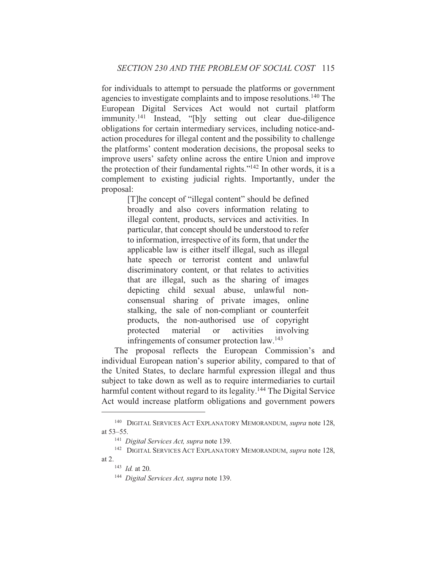for individuals to attempt to persuade the platforms or government agencies to investigate complaints and to impose resolutions.<sup>140</sup> The European Digital Services Act would not curtail platform immunity.<sup>141</sup> Instead, "[b]y setting out clear due-diligence obligations for certain intermediary services, including notice-andaction procedures for illegal content and the possibility to challenge the platforms' content moderation decisions, the proposal seeks to improve users' safety online across the entire Union and improve the protection of their fundamental rights."<sup>142</sup> In other words, it is a complement to existing judicial rights. Importantly, under the proposal:

> [T]he concept of "illegal content" should be defined broadly and also covers information relating to illegal content, products, services and activities. In particular, that concept should be understood to refer to information, irrespective of its form, that under the applicable law is either itself illegal, such as illegal hate speech or terrorist content and unlawful discriminatory content, or that relates to activities that are illegal, such as the sharing of images depicting child sexual abuse, unlawful nonconsensual sharing of private images, online stalking, the sale of non-compliant or counterfeit products, the non-authorised use of copyright protected material  $\alpha$ activities involving infringements of consumer protection law.<sup>143</sup>

The proposal reflects the European Commission's and individual European nation's superior ability, compared to that of the United States, to declare harmful expression illegal and thus subject to take down as well as to require intermediaries to curtail harmful content without regard to its legality.<sup>144</sup> The Digital Service Act would increase platform obligations and government powers

<sup>&</sup>lt;sup>140</sup> DIGITAL SERVICES ACT EXPLANATORY MEMORANDUM, *supra* note 128, at 53-55.

<sup>&</sup>lt;sup>141</sup> Digital Services Act, supra note 139.

<sup>&</sup>lt;sup>142</sup> DIGITAL SERVICES ACT EXPLANATORY MEMORANDUM, supra note 128, at  $2$ .

 $143$  *Id.* at 20.

<sup>&</sup>lt;sup>144</sup> Digital Services Act, supra note 139.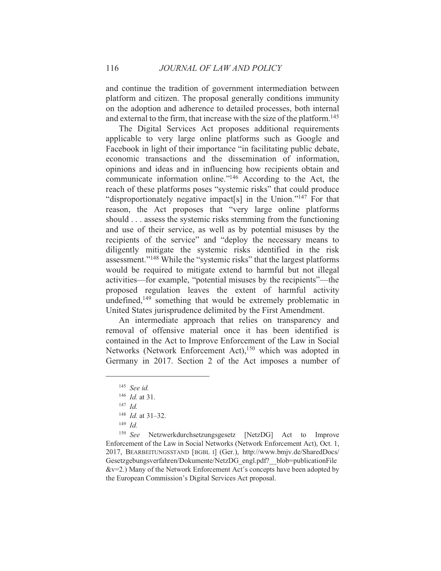and continue the tradition of government intermediation between platform and citizen. The proposal generally conditions immunity on the adoption and adherence to detailed processes, both internal and external to the firm, that increase with the size of the platform.<sup>145</sup>

The Digital Services Act proposes additional requirements applicable to very large online platforms such as Google and Facebook in light of their importance "in facilitating public debate, economic transactions and the dissemination of information, opinions and ideas and in influencing how recipients obtain and communicate information online."<sup>146</sup> According to the Act, the reach of these platforms poses "systemic risks" that could produce "disproportionately negative impact[s] in the Union."<sup>147</sup> For that reason, the Act proposes that "very large online platforms" should . . . assess the systemic risks stemming from the functioning and use of their service, as well as by potential misuses by the recipients of the service" and "deploy the necessary means to diligently mitigate the systemic risks identified in the risk assessment."<sup>148</sup> While the "systemic risks" that the largest platforms would be required to mitigate extend to harmful but not illegal activities—for example, "potential misuses by the recipients"—the proposed regulation leaves the extent of harmful activity undefined,<sup>149</sup> something that would be extremely problematic in United States jurisprudence delimited by the First Amendment.

An intermediate approach that relies on transparency and removal of offensive material once it has been identified is contained in the Act to Improve Enforcement of the Law in Social Networks (Network Enforcement Act),<sup>150</sup> which was adopted in Germany in 2017. Section 2 of the Act imposes a number of

116

 $145$  See id.

 $146$  *Id.* at 31.

 $147$  Id

 $148$  *Id.* at 31-32.

 $149$  *Id.* 

<sup>&</sup>lt;sup>150</sup> See Netzwerkdurchsetzungsgesetz [NetzDG] Act to Improve Enforcement of the Law in Social Networks (Network Enforcement Act), Oct. 1, 2017, BEARBEITUNGSSTAND [BGBL I] (Ger.), http://www.bmjv.de/SharedDocs/ Gesetzgebungsverfahren/Dokumente/NetzDG engl.pdf? blob=publicationFile  $&\text{v=2.}$ ) Many of the Network Enforcement Act's concepts have been adopted by the European Commission's Digital Services Act proposal.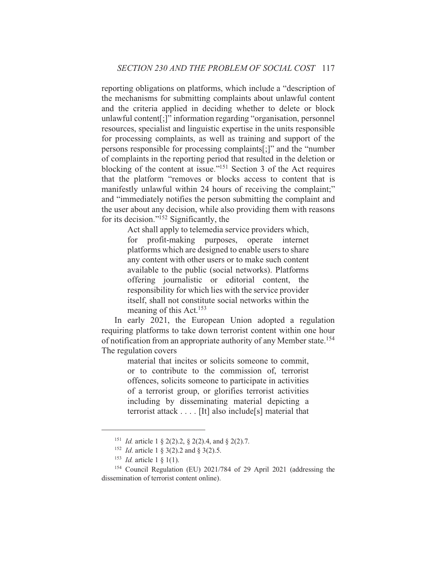reporting obligations on platforms, which include a "description of the mechanisms for submitting complaints about unlawful content and the criteria applied in deciding whether to delete or block unlawful content[;]" information regarding "organisation, personnel resources, specialist and linguistic expertise in the units responsible for processing complaints, as well as training and support of the persons responsible for processing complaints[;]" and the "number of complaints in the reporting period that resulted in the deletion or blocking of the content at issue."<sup>151</sup> Section 3 of the Act requires that the platform "removes or blocks access to content that is manifestly unlawful within 24 hours of receiving the complaint;" and "immediately notifies the person submitting the complaint and the user about any decision, while also providing them with reasons for its decision."<sup>152</sup> Significantly, the

> Act shall apply to telemedia service providers which, profit-making purposes, operate internet for platforms which are designed to enable users to share any content with other users or to make such content available to the public (social networks). Platforms offering journalistic or editorial content, the responsibility for which lies with the service provider itself, shall not constitute social networks within the meaning of this Act.<sup>153</sup>

In early 2021, the European Union adopted a regulation requiring platforms to take down terrorist content within one hour of notification from an appropriate authority of any Member state.<sup>154</sup> The regulation covers

> material that incites or solicits someone to commit, or to contribute to the commission of terrorist offences, solicits someone to participate in activities of a terrorist group, or glorifies terrorist activities including by disseminating material depicting a terrorist attack . . . . [It] also include[s] material that

<sup>&</sup>lt;sup>151</sup> *Id.* article 1 § 2(2).2, § 2(2).4, and § 2(2).7.

<sup>&</sup>lt;sup>152</sup> *Id.* article 1 § 3(2).2 and § 3(2).5.

<sup>&</sup>lt;sup>153</sup> *Id.* article 1  $\S$  1(1).

<sup>&</sup>lt;sup>154</sup> Council Regulation (EU) 2021/784 of 29 April 2021 (addressing the dissemination of terrorist content online).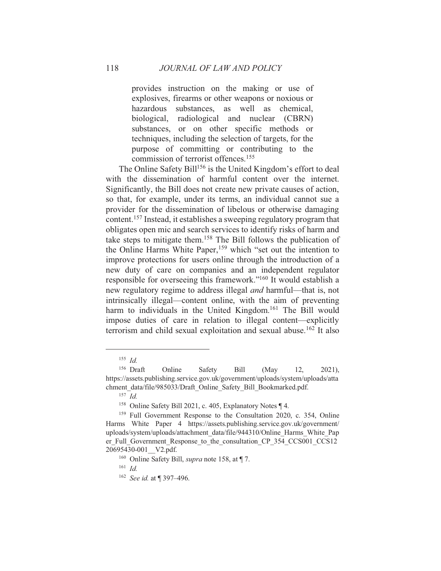provides instruction on the making or use of explosives, firearms or other weapons or noxious or hazardous substances, as well as chemical, biological, radiological and nuclear (CBRN) substances, or on other specific methods or techniques, including the selection of targets, for the purpose of committing or contributing to the commission of terrorist offences.<sup>155</sup>

The Online Safety Bill<sup>156</sup> is the United Kingdom's effort to deal with the dissemination of harmful content over the internet. Significantly, the Bill does not create new private causes of action, so that, for example, under its terms, an individual cannot sue a provider for the dissemination of libelous or otherwise damaging content.<sup>157</sup> Instead, it establishes a sweeping regulatory program that obligates open mic and search services to identify risks of harm and take steps to mitigate them.<sup>158</sup> The Bill follows the publication of the Online Harms White Paper,<sup>159</sup> which "set out the intention to improve protections for users online through the introduction of a new duty of care on companies and an independent regulator responsible for overseeing this framework."<sup>160</sup> It would establish a new regulatory regime to address illegal *and* harmful—that is, not intrinsically illegal—content online, with the aim of preventing harm to individuals in the United Kingdom.<sup>161</sup> The Bill would impose duties of care in relation to illegal content—explicitly terrorism and child sexual exploitation and sexual abuse.<sup>162</sup> It also

118

 $155$  *Id.* 

 $156$  Draft Online Safety **Bill**  $12.$  $2021$ ), (May https://assets.publishing.service.gov.uk/government/uploads/system/uploads/atta chment data/file/985033/Draft Online Safety Bill Bookmarked.pdf.

 $157$  *Id.* 

<sup>&</sup>lt;sup>158</sup> Online Safety Bill 2021, c. 405, Explanatory Notes ¶ 4.

<sup>&</sup>lt;sup>159</sup> Full Government Response to the Consultation 2020, c. 354, Online Harms White Paper 4 https://assets.publishing.service.gov.uk/government/ uploads/system/uploads/attachment data/file/944310/Online Harms White Pap er Full Government Response to the consultation CP 354 CCS001 CCS12 20695430-001 V2.pdf.

<sup>&</sup>lt;sup>160</sup> Online Safety Bill, *supra* note 158, at [7.]

 $161$  *Id.* 

 $162$  See id. at 1397-496.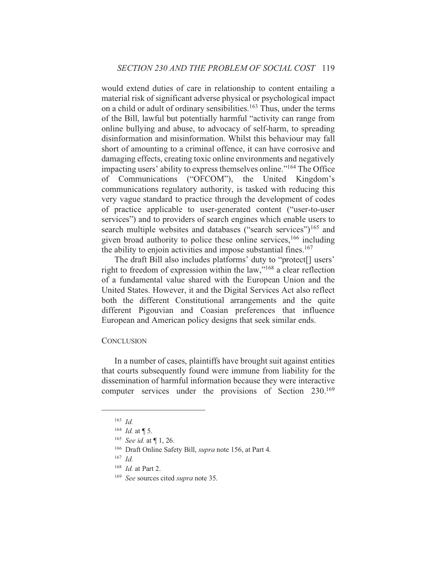would extend duties of care in relationship to content entailing a material risk of significant adverse physical or psychological impact on a child or adult of ordinary sensibilities.<sup>163</sup> Thus, under the terms of the Bill, lawful but potentially harmful "activity can range from online bullying and abuse, to advocacy of self-harm, to spreading disinformation and misinformation. Whilst this behaviour may fall short of amounting to a criminal offence, it can have corrosive and damaging effects, creating toxic online environments and negatively impacting users' ability to express themselves online."<sup>164</sup> The Office of Communications ("OFCOM"), the United Kingdom's communications regulatory authority, is tasked with reducing this very vague standard to practice through the development of codes of practice applicable to user-generated content ("user-to-user services") and to providers of search engines which enable users to search multiple websites and databases ("search services")<sup>165</sup> and given broad authority to police these online services, <sup>166</sup> including the ability to enjoin activities and impose substantial fines.<sup>167</sup>

The draft Bill also includes platforms' duty to "protect[] users' right to freedom of expression within the law,"<sup>168</sup> a clear reflection of a fundamental value shared with the European Union and the United States. However, it and the Digital Services Act also reflect both the different Constitutional arrangements and the quite different Pigouvian and Coasian preferences that influence European and American policy designs that seek similar ends.

#### **CONCLUSION**

In a number of cases, plaintiffs have brought suit against entities that courts subsequently found were immune from liability for the dissemination of harmful information because they were interactive computer services under the provisions of Section 230.169

 $163$  *Id.* 

 $164$  *Id.* at  $\P$  5.

<sup>&</sup>lt;sup>165</sup> See id. at  $\P$  1, 26.

<sup>&</sup>lt;sup>166</sup> Draft Online Safety Bill, *supra* note 156, at Part 4.

 $167$  *Id.* 

 $168$  *Id.* at Part 2.

<sup>&</sup>lt;sup>169</sup> See sources cited supra note 35.